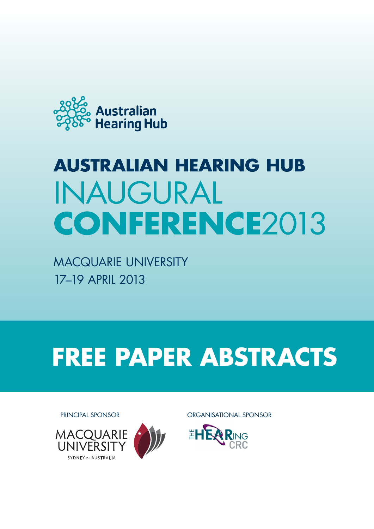

# **AUSTRALIAN HEARING HUB INAUGURAL CONFERENCE2013**

Macquarie University 17–19 April 2013

# **FREE PAPER ABSTRACTS**





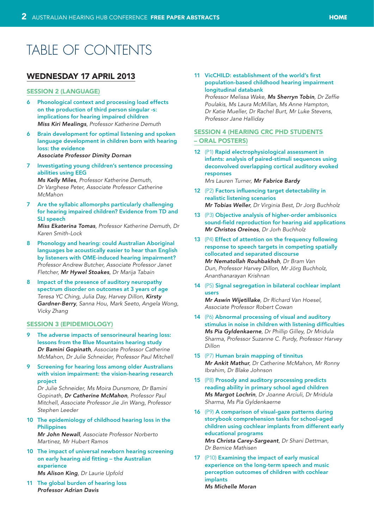# Table of Contents

## [Wednesday 17 April 2013](#page-5-0)

#### [Session 2 \(Language\)](#page-5-0)

- 6 [Phonological context and processing load effects](#page-5-0)  [on the production of third person singular -s:](#page-5-0)  [implications for hearing impaired children](#page-5-0) *Miss Kiri Mealings[, Professor Katherine Demuth](#page-5-0)*
- 6 [Brain development for optimal listening and spoken](#page-5-0)  [language development in children born with hearing](#page-5-0)  [loss: the evidence](#page-5-0) *[Associate Professor Dimity Dornan](#page-5-0)*
- 7 [Investigating young children's sentence processing](#page-6-0)  [abilities using](#page-6-0) EEG

*Ms Kelly Miles[, Professor Katherine Demuth,](#page-6-0)  Dr [Varghese Peter, Associate Professor Catherine](#page-6-0)  [McMahon](#page-6-0)*

7 [Are the syllabic allomorphs particularly challenging](#page-6-0)  [for hearing impaired children? Evidence from TD and](#page-6-0)  [SLI speech](#page-6-0)

*Miss Ekaterina Tomas[, Professor Katherine Demuth, Dr](#page-6-0)  [Karen Smith-Lock](#page-6-0)*

- 8 [Phonology and hearing: could Australian Aboriginal](#page-7-0)  [languages be acoustically easier to hear than English](#page-7-0)  [by listeners with OME-induced hearing impairment?](#page-7-0) *[Professor Andrew Butcher, Associate Professor Janet](#page-7-0)  Fletcher, [Mr Hywel Stoakes](#page-7-0), Dr Marija Tabain*
- 8 [Impact of the presence of auditory neuropathy](#page-7-0)  [spectrum disorder on outcomes at 3 years of age](#page-7-0) *[Teresa YC Ching, Julia Day, Harvey Dillon,](#page-7-0) Kirsty Gardner-Berry[, Sanna Hou, Mark Seeto, Angela Wong,](#page-7-0)  [Vicky Zhang](#page-7-0)*

#### [Session 3 \(Epidemiology\)](#page-8-0)

- 9 [The adverse impacts of sensorineural hearing loss:](#page-8-0)  [lessons from the Blue Mountains hearing study](#page-8-0) *Dr Bamini Gopinath[, Associate Professor Catherine](#page-8-0)  [McMahon, Dr Julie Schneider, Professor Paul Mitchell](#page-8-0)*
- Screening for hearing loss among older Australians [with vision impairment: the vision-hearing research](#page-8-0)  [project](#page-8-0)

*[Dr Julie Schneider, Ms Moira Dunsmore, Dr](#page-8-0) Bamini Gopinath, [Dr Catherine McMahon](#page-8-0), Professor Paul [Mitchell, Associate Professor Jie Jin Wang, Professor](#page-8-0)  [Stephen Leeder](#page-8-0)*

- 10 [The epidemiology of childhood hearing loss in the](#page-9-0)  **[Philippines](#page-9-0)** *Mr John Newall[, Associate Professor Norberto](#page-9-0)  [Martinez, Mr Hubert Ramos](#page-9-0)*
- 10 [The impact of universal newborn hearing screening](#page-9-0)  [on early hearing aid fitting – the Australian](#page-9-0)  [experience](#page-9-0) *Ms Alison King[, Dr Laurie Upfold](#page-9-0)*

11 [The global burden of hearing](#page-10-0) loss *[Professor Adrian Davis](#page-10-0)*

#### 11 [VicCHILD: establishment of the world's first](#page-10-0)  [population-based childhood hearing impairment](#page-10-0)  [longitudinal databank](#page-10-0)

*[Professor Melissa Wake,](#page-10-0) Ms Sherryn Tobin, Dr Zeffie [Poulakis, Ms Laura McMillan, Ms](#page-10-0) Anne Hampton, [Dr Katie Mueller, Dr](#page-10-0) Rachel Burt, Mr Luke Stevens, [Professor Jane Halliday](#page-10-0)*

#### [Session 4 \(HEARing CRC PhD](#page-11-0) Students [– Oral Posters\)](#page-11-0)

12 (P1) [Rapid electrophysiological assessment in](#page-11-0)  [infants: analysis of paired-stimuli sequences using](#page-11-0)  [deconvolved overlapping cortical auditory evoked](#page-11-0)  [responses](#page-11-0)

*[Mrs Lauren Turner,](#page-11-0) Mr Fabrice Bardy*

- 12 (P2) [Factors influencing target detectability in](#page-11-0)  [realistic listening scenarios](#page-11-0) *Mr Tobias Weller[, Dr Virginia Best, Dr Jorg Buchholz](#page-11-0)*
- 13 (P3) [Objective analysis of higher-order ambisonics](#page-12-0)  [sound-field reproduction for hearing aid applications](#page-12-0) *[Mr Christos Oreinos](#page-12-0), Dr Jorh Buchholz*
- 13 (P4) [Effect of attention on the frequency following](#page-12-0)  [response to speech targets in competing spatially](#page-12-0)  [collocated and separated discourse](#page-12-0) *[Mr Nematollah Rouhbakhsh](#page-12-0), Dr Bram Van [Dun, Professor Harvey Dillon, Mr Jörg Buchholz,](#page-12-0)  [Ananthanarayan Krishnan](#page-12-0)*
- 14 (P5) [Signal segregation in bilateral cochlear implant](#page-13-0)  [users](#page-13-0)

*Mr Aswin Wijetillake[, Dr Richard Van Hoesel,](#page-13-0)  [Associate Professor Robert Cowan](#page-13-0)*

- 14 (P6) [Abnormal processing of visual and auditory](#page-13-0)  [stimulus in noise in children with listening difficulties](#page-13-0) *Ms Pia Gyldenkaerne[, Dr Phillip Gilley, Dr Mridula](#page-13-0)  [Sharma, Professor Suzanne C. Purdy, Professor Harvey](#page-13-0)  [Dillon](#page-13-0)*
- 15 (P7) [Human brain mapping of](#page-14-0) tinnitus *Mr Ankit Mathur[, Dr Catherine McMahon, Mr](#page-14-0) Ronny [Ibrahim, Dr Blake Johnson](#page-14-0)*
- 15 (P8) [Prosody and auditory processing predicts](#page-14-0)  [reading ability in primary school aged children](#page-14-0) *Ms Margot Lochrin[, Dr Joanne Arciuli, Dr](#page-14-0) Mridula [Sharma, Ms Pia Gyldenkaerne](#page-14-0)*
- 16 (P9) [A comparison of visual-gaze patterns during](#page-15-0)  [storybook comprehension tasks for school-aged](#page-15-0)  [children using cochlear implants from different early](#page-15-0)  [educational programs](#page-15-0) *[Mrs Christa Carey-Sargeant](#page-15-0), Dr Shani Dettman,*

*Dr [Bernice Mathisen](#page-15-0)*

17 (P10) [Examining the impact of early musical](#page-16-0)  [experience on the long-term speech and music](#page-16-0)  [perception outcomes of children with cochlear](#page-16-0)  [implants](#page-16-0) *[Ms Michelle Moran](#page-16-0)*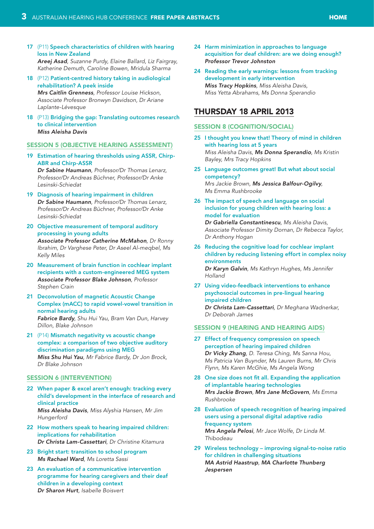- 17 (P11) [Speech characteristics of children with hearing](#page-16-0)  [loss in New Zealand](#page-16-0)  *Areej Asad[, Suzanne Purdy, Elaine Ballard, Liz Fairgray,](#page-16-0)  [Katherine Demuth, Caroline Bowen, Mridula Sharma](#page-16-0)*
- 18 (P12) [Patient-centred history taking in audiological](#page-17-0)  [rehabilitation? A](#page-17-0) peek inside *Mrs Caitlin Grenness[, Professor Louise Hickson,](#page-17-0)  [Associate Professor Bronwyn Davidson, Dr Ariane](#page-17-0)  [Laplante-Lévesque](#page-17-0)*
- 18 (P13) [Bridging the gap: Translating outcomes research](#page-17-0)  [to clinical intervention](#page-17-0)  *[Miss Aleisha Davis](#page-17-0)*

#### [Session 5 \(Objective hearing assessment\)](#page-18-0)

19 [Estimation of hearing thresholds using ASSR, Chirp-](#page-18-0)[ABR and Chirp-ASSR](#page-18-0)

*Dr Sabine Haumann[, Professor/Dr Thomas Lenarz,](#page-18-0)  [Professor/Dr Andreas Büchner, Professor/Dr Anke](#page-18-0)  [Lesinski-Schiedat](#page-18-0)*

- 19 [Diagnosis of hearing impairment in](#page-18-0) children *Dr Sabine Haumann[, Professor/Dr Thomas Lenarz,](#page-18-0)  [Professor/Dr Andreas Büchner, Professor/Dr Anke](#page-18-0)  [Lesinski-Schiedat](#page-18-0)*
- 20 [Objective measurement of temporal auditory](#page-19-0)  [processing in young adults](#page-19-0) *[Associate Professor Catherine McMahon](#page-19-0), Dr Ronny [Ibrahim, Dr Varghese Peter, Dr Aseel Al-meqbel, Ms](#page-19-0)  [Kelly Miles](#page-19-0)*
- 20 [Measurement of brain function in cochlear implant](#page-19-0)  [recipients with a custom-engineered MEG system](#page-19-0) *[Associate Professor Blake Johnson](#page-19-0), Professor [Stephen Crain](#page-19-0)*
- 21 [Deconvolution of magnetic Acoustic Change](#page-20-0)  [Complex \(mACC\) to rapid vowel-vowel transition in](#page-20-0)  [normal hearing adults](#page-20-0)  *Fabrice Bardy[, Shu Hui Yau, Bram Van Dun, Harvey](#page-20-0)  [Dillon, Blake Johnson](#page-20-0)*
- 21 (P14) [Mismatch negativity vs acoustic change](#page-20-0)  [complex: a comparison of two objective auditory](#page-20-0)  [discrimination paradigms using MEG](#page-20-0) *Miss Shu Hui Yau[, Mr Fabrice Bardy, Dr Jon Brock,](#page-20-0)  Dr [Blake Johnson](#page-20-0)*

#### **SESSION 6 (INTERVENTION)**

- 22 [When paper & excel aren't enough: tracking every](#page-21-0)  [child's development in the interface of research and](#page-21-0)  [clinical practice](#page-21-0) *Miss Aleisha Davis[, Miss Alyshia Hansen, Mr Jim](#page-21-0)  [Hungerford](#page-21-0)*
- 22 [How mothers speak to hearing impaired children:](#page-21-0)  [implications for rehabilitation](#page-21-0) *[Dr Christa Lam-Cassettari](#page-21-0), Dr Christine Kitamura*
- 23 Bright start: transition to school program *[Ms Rachael Ward](#page-22-0), Ms Loretta Sassi*
- 23 [An evaluation of a communicative intervention](#page-22-0)  [programme for hearing caregivers and their deaf](#page-22-0)  [children in a developing context](#page-22-0) *Dr Sharon Hurt[, Isabelle Boisvert](#page-22-0)*
- 24 [Harm minimization in approaches to language](#page-23-0)  [acquisition for deaf children: are we doing enough?](#page-23-0) *[Professor Trevor Johnston](#page-23-0)*
- 24 [Reading the early warnings: lessons from tracking](#page-23-0)  [development in early intervention](#page-23-0)  *Miss Tracy Hopkins[, Miss Aleisha Davis,](#page-23-0)  [Miss Yetta Abrahams, Ms Donna Sperandio](#page-23-0)*

## [Thursday 18 April 2013](#page-24-0)

#### [Session 8 \(Cognition/social\)](#page-24-0)

- 25 [I thought you knew that! Theory of mind in children](#page-24-0)  [with hearing loss at 5 years](#page-24-0) *Miss Aleisha Davis, [Ms Donna Sperandio](#page-24-0), Ms Kristin [Bayley, Mrs Tracy Hopkins](#page-24-0)*
- 25 [Language outcomes great! But what about social](#page-24-0)  [competency?](#page-24-0) *Mrs Jackie Brown, [Ms Jessica Balfour-Ogilvy](#page-24-0), Ms [Emma Rushbrooke](#page-24-0)*
- 26 [The impact of speech and language on social](#page-25-0)  [inclusion for young children with hearing loss: a](#page-25-0)  [model for evaluation](#page-25-0)

*[Dr Gabriella Constantinescu](#page-25-0), Ms Aleisha Davis, [Associate Professor Dimity Dornan, Dr Rebecca Taylor,](#page-25-0)  [Dr Anthony Hogan](#page-25-0)*

- 26 [Reducing the cognitive load for cochlear implant](#page-25-0)  [children by reducing listening effort in complex noisy](#page-25-0)  [environments](#page-25-0) *Dr Karyn Galvin[, Ms Kathryn Hughes, Ms](#page-25-0) Jennifer [Holland](#page-25-0)*
- 27 [Using video-feedback interventions to enhance](#page-26-0)  [psychosocial outcomes in pre-lingual hearing](#page-26-0)  [impaired children](#page-26-0) *[Dr Christa Lam-Cassettari](#page-26-0), Dr Meghana Wadnerkar, Dr [Deborah James](#page-26-0)*

#### [Session 9 \(Hearing and hearing](#page-26-0) aids)

- 27 [Effect of frequency compression on speech](#page-26-0)  [perception of hearing impaired children](#page-26-0)  *Dr Vicky Zhang[, D. Teresa Ching, Ms Sanna Hou,](#page-26-0)  Ms [Patricia Van Buynder, Ms Lauren Burns, Mr Chris](#page-26-0)  [Flynn, Ms Karen McGhie, Ms Angela Wong](#page-26-0)*
- 28 [One size does not fit all. Expanding the application](#page-27-0)  [of implantable hearing technologies](#page-27-0) *Mrs Jackie Brown, [Mrs Jane McGovern](#page-27-0), Ms Emma [Rushbrooke](#page-27-0)*
- 28 [Evaluation of speech recognition of hearing impaired](#page-27-0)  [users using a personal digital adaptive radio](#page-27-0)  [frequency system](#page-27-0) *Mrs Angela Pelosi[, Mr Jace Wolfe, Dr Linda M.](#page-27-0)*

*[Thibodeau](#page-27-0)*

29 [Wireless technology – improving signal-to-noise ratio](#page-28-0)  [for children in challenging situations](#page-28-0) *MA Astrid Haastrup, [MA Charlotte Thunberg](#page-28-0)  [Jespersen](#page-28-0)*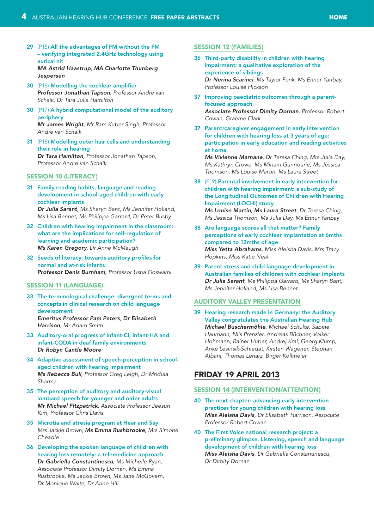29 (P15) [All the advantages of FM without the FM](#page-28-0)  [– verifying integrated 2.4GHz technology using](#page-28-0)  [aurical](#page-28-0) hit *MA Astrid Haastrup, [MA Charlotte Thunberg](#page-28-0)* 

*[Jespersen](#page-28-0)*

- 30 (P16) [Modelling the cochlear amplifier](#page-29-0) *[Professor Jonathan Tapson](#page-29-0), Professor Andre van [Schaik, Dr Tara Julia Hamilton](#page-29-0)*
- 30 (P17) [A hybrid computational model of the auditory](#page-29-0)  [periphery](#page-29-0) *Mr James Wright[, Mr Ram Kuber Singh, Professor](#page-29-0)  [Andre van Schaik](#page-29-0)*
- 31 (P18) [Modelling outer hair cells and understanding](#page-30-0)  [their role in hearing](#page-30-0) *Dr Tara Hamilton[, Professor Jonathan Tapson,](#page-30-0)  [Professor Andre van Schaik](#page-30-0)*

#### SESSION 10 (LITERACY)

- 31 [Family reading habits, language and reading](#page-30-0)  [development in school-aged children with early](#page-30-0)  [cochlear implants](#page-30-0) *Dr Julia Sarant[, Ms Sharyn Bant, Ms Jennifer Holland,](#page-30-0)  [Ms Lisa Bennet, Ms Philippa Garrard, Dr Peter Busby](#page-30-0)*
- 32 [Children with hearing impairment in the classroom:](#page-31-0)  [what are the implications for self-regulation of](#page-31-0)  [learning and academic participation?](#page-31-0) *Ms Karen Gregory[, Dr Anne McMaugh](#page-31-0)*
- 32 [Seeds of literacy: towards auditory profiles for](#page-31-0)  [normal and at-risk infants](#page-31-0) *[Professor Denis Burnham](#page-31-0), Professor Usha Goswami*

#### [Session 11 \(Language\)](#page-32-0)

- 33 [The terminological challenge: divergent terms and](#page-32-0)  [concepts in clinical research on child language](#page-32-0)  [development](#page-32-0)  *[Emeritus Professor Pam Peters](#page-32-0), Dr Elisabeth Harrison[, Mr Adam Smith](#page-32-0)*
- 33 [Auditory-oral progress of infant-CI, infant-HA and](#page-32-0)  [infant-CODA in deaf family environments](#page-32-0) *[Dr Robyn Cantle Moore](#page-32-0)*
- 34 [Adaptive assessment of speech-perception in school](#page-33-0)[aged children with hearing impairment](#page-33-0) *Ms Rebecca Bull[, Professor Greg Leigh, Dr](#page-33-0) Mridula [Sharma](#page-33-0)*
- 35 [The perception of auditory and auditory-visual](#page-34-0)  [lombard speech for younger and older adults](#page-34-0)  *Mr Michael Fitzpatrick[, Associate Professor Jeesun](#page-34-0)  [Kim, Professor Chris Davis](#page-34-0)*
- 35 [Microtia and atresia program at Hear and Say](#page-34-0) *Mrs Jackie Brown, [Ms Emma Rushbrooke](#page-34-0), Mrs Simone [Cheadle](#page-34-0)*
- 36 [Developing the spoken language of children with](#page-35-0)  [hearing loss remotely: a telemedicine approach](#page-35-0)  *[Dr Gabriella Constantinescu](#page-35-0), Ms Michelle Ryan, [Associate Professor Dimity Dornan, Ms Emma](#page-35-0)  [Rusbrooke, Ms Jackie Brown, Ms Jane McGovern,](#page-35-0)  Dr [Monique Waite, Dr Anne Hill](#page-35-0)*

#### [Session 12 \(Families\)](#page-35-0)

- 36 [Third-party disability in children with hearing](#page-35-0)  [impairment: a qualitative exploration of the](#page-35-0)  [experience of siblings](#page-35-0) *Dr Nerina Scarinci[, Ms Taylor Funk, Ms Ennur Yanbay,](#page-35-0)  [Professor Louise Hickson](#page-35-0)*
- 37 [Improving paediatric outcomes through a parent](#page-36-0)[focused approach](#page-36-0) *[Associate Professor Dimity Dornan](#page-36-0), Professor Robert [Cowan, Graeme Clark](#page-36-0)*
- 37 [Parent/caregiver engagement in early intervention](#page-36-0)  [for children with hearing loss at 3 years of age:](#page-36-0)  [participation in early education and reading activities](#page-36-0)  [at home](#page-36-0)

*Ms Vivienne Marnane[, Dr Teresa Ching, Mrs Julia Day,](#page-36-0)  [Ms Kathryn Crowe, Ms Miriam Gunnourie, Ms Jessica](#page-36-0)  [Thomson, Ms Louise Martin, Ms Laura Street](#page-36-0)*

- 38 (P19) [Parental involvement in early intervention for](#page-37-0)  [children with hearing impairment: a sub-study of](#page-37-0)  [the Longitudinal Outcomes of Children with Hearing](#page-37-0)  [Impairment \(LOCHI\) study](#page-37-0) *Ms Louise Martin, Ms Laura Street[, Dr Teresa Ching,](#page-37-0)  [Ms Jessica Thomson, Ms Julia Day, Ms Ennur Yanbay](#page-37-0)*
- 38 [Are language scores all that matter? Family](#page-37-0)  [perceptions of early cochlear implantation at 6mths](#page-37-0)  [compared to 12mths of age](#page-37-0) *Miss Yetta Abrahams[, Miss Aleisha Davis, Mrs Tracy](#page-37-0)  [Hopkins, Miss Katie Neal](#page-37-0)*
- 39 [Parent stress and child language development in](#page-38-0)  [Australian families of children with cochlear implants](#page-38-0) *Dr Julia Sarant[, Ms Philippa Garrard, Ms](#page-38-0) Sharyn Bant, [Ms Jennifer Holland, Ms](#page-38-0) Lisa Bennet*

#### [Auditory Valley presentation](#page-38-0)

39 [Hearing research made in Germany: the Auditory](#page-38-0)  [Valley congratulates the Australian Hearing Hub](#page-38-0) *Michael Buschermöhle[, Michael Schulte, Sabine](#page-38-0)  [Haumann, Nils Prenzler, Andreas Büchner, Volker](#page-38-0)  [Hohmann, Rainer Huber, Andrej Kral, Georg Klump,](#page-38-0)  [Anke Lesinsik-Schiedat, Kirsten Wagener, Stephan](#page-38-0)  [Albani, Thomas Lenarz, Birger Kollmeier](#page-38-0)*

## [Friday 19 April 2013](#page-39-0)

#### [Session 14 \(Intervention/attention\)](#page-39-0)

- 40 [The next chapter: advancing early intervention](#page-39-0)  [practices for young children with hearing loss](#page-39-0)  *Miss Aleisha Davis[, Dr Elisabeth Harrison, Associate](#page-39-0)  [Professor Robert Cowan](#page-39-0)*
- 40 [The First Voice national research project: a](#page-39-0)  [preliminary glimpse. Listening, speech and language](#page-39-0)  [development of children with hearing loss](#page-39-0)  *Miss Aleisha Davis[, Dr Gabriella Constantinescu,](#page-39-0)  [Dr Dimity Dornan](#page-39-0)*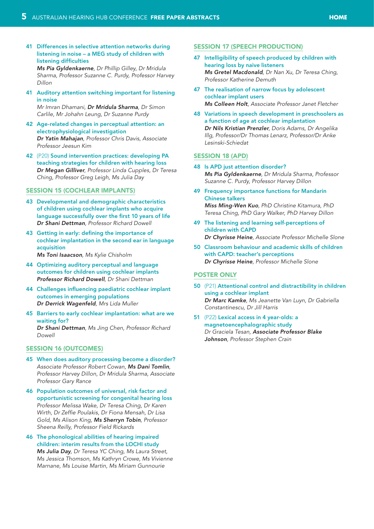41 [Differences in selective attention networks during](#page-40-0)  [listening in noise – a MEG study of children with](#page-40-0)  [listening difficulties](#page-40-0)

*Ms Pia Gyldenkaerne[, Dr Phillip Gilley, Dr Mridula](#page-40-0)  [Sharma, Professor Suzanne C. Purdy, Professor Harvey](#page-40-0)  [Dillon](#page-40-0)*

41 [Auditory attention switching important for listening](#page-40-0)  [in noise](#page-40-0)

*Mr Imran Dhamani, [Dr Mridula Sharma](#page-40-0), Dr Simon [Carlile, Mr Johahn Leung, Dr](#page-40-0) Suzanne Purdy*

- 42 [Age-related changes in perceptual attention: an](#page-41-0)  [electrophysiological investigation](#page-41-0) *Dr Yatin Mahajan[, Professor Chris Davis, Associate](#page-41-0)  [Professor Jeesun Kim](#page-41-0)*
- 42 (P20) [Sound intervention practices: developing PA](#page-41-0)  [teaching strategies for children with hearing loss](#page-41-0) *Dr Megan Gilliver[, Professor Linda Cupples, Dr Teresa](#page-41-0)  [Ching, Professor Greg Leigh, Ms](#page-41-0) Julia Day*

#### [Session 15 \(Cochlear implants\)](#page-42-0)

- 43 [Developmental and demographic characteristics](#page-42-0)  [of children using cochlear implants who acquire](#page-42-0)  [language successfully over the first 10 years of life](#page-42-0) *Dr Shani Dettman[, Professor Richard Dowell](#page-42-0)*
- 43 [Getting in early: defining the importance of](#page-42-0)  [cochlear implantation in the second ear in language](#page-42-0)  [acquisition](#page-42-0) *Ms Toni Isaacson[, Ms Kylie Chisholm](#page-42-0)*
- 44 [Optimizing auditory perceptual and language](#page-43-0)  [outcomes for children using cochlear implants](#page-43-0) *[Professor Richard Dowell](#page-43-0), Dr Shani Dettman*
- 44 [Challenges influencing paediatric cochlear implant](#page-43-0)  [outcomes in emerging populations](#page-43-0) *[Dr Derrick Wagenfeld](#page-43-0), Mrs Lida Muller*
- 45 [Barriers to early cochlear implantation: what are we](#page-44-0)  [waiting](#page-44-0) for? *Dr Shani Dettman[, Ms Jing Chen, Professor Richard](#page-44-0)*

*[Dowell](#page-44-0)*

## [Session 16 \(Outcomes\)](#page-44-0)

- 45 [When does auditory processing become a disorder?](#page-44-0) *Associate Professor Robert Cowan, [Ms Dani Tomlin](#page-44-0), [Professor Harvey Dillon, Dr Mridula Sharma, Associate](#page-44-0)  [Professor Gary Rance](#page-44-0)*
- 46 [Population outcomes of universal, risk factor and](#page-45-0)  [opportunistic screening for congenital hearing loss](#page-45-0) *[Professor Melissa Wake, Dr Teresa Ching, Dr Karen](#page-45-0)  [Wirth, Dr Zeffie Poulakis, Dr Fiona Mensah, Dr Lisa](#page-45-0)  [Gold, Ms Alison King,](#page-45-0) Ms Sherryn Tobin, Professor [Sheena Reilly, Professor Field Rickards](#page-45-0)*
- 46 [The phonological abilities of hearing impaired](#page-45-0)  [children: interim results from the LOCHI study](#page-45-0) *Ms Julia Day[, Dr Teresa YC Ching, Ms Laura Street,](#page-45-0)*

*[Marnane, Ms Louise Martin, Ms Miriam Gunnourie](#page-45-0)*

# *[Ms Jessica Thomson, Ms Kathryn Crowe, Ms Vivienne](#page-45-0)*

#### **SESSION 17 (SPEECH PRODUCTION)**

- 47 [Intelligibility of speech produced by children with](#page-46-0)  [hearing loss by naive listeners](#page-46-0) *Ms Gretel Macdonald[, Dr Nan Xu, Dr Teresa Ching,](#page-46-0)  [Professor Katherine Demuth](#page-46-0)*
- 47 [The realisation of narrow focus by adolescent](#page-46-0)  [cochlear implant users](#page-46-0) *Ms Colleen Holt[, Associate Professor Janet Fletcher](#page-46-0)*
- 48 [Variations in speech development in preschoolers as](#page-47-0)  [a function of age at cochlear implantation](#page-47-0) *[Dr Nils Kristian Prenzler](#page-47-0), Doris Adams, Dr Angelika [Illg, Professor/Dr Thomas Lenarz, Professor/Dr Anke](#page-47-0)  [Lesinski-Schiedat](#page-47-0)*

#### SESSION 18 (APD)

#### 48 [Is APD just attention disorder?](#page-47-0) *Ms Pia Gyldenkaerne[, Dr Mridula Sharma, Professor](#page-47-0)*

49 [Frequency importance functions for Mandarin](#page-48-0)  [Chinese talkers](#page-48-0) *Miss Ming-Wen Kuo[, PhD Christine Kitamura, PhD](#page-48-0)  [Teresa Ching, PhD Gary Walker, PhD](#page-48-0) Harvey Dillon*

*[Suzanne C. Purdy, Professor Harvey Dillon](#page-47-0)*

- 49 [The listening and learning self-perceptions of](#page-48-0)  [children with CAPD](#page-48-0) *Dr Chyrisse Heine[, Associate Professor Michelle Slone](#page-48-0)*
- 50 [Classroom behaviour and academic skills of children](#page-49-0)  [with CAPD: teacher's perceptions](#page-49-0) *Dr Chyrisse Heine[, Professor Michelle Slone](#page-49-0)*

#### [Poster only](#page-49-0)

- 50 (P21) [Attentional control and distractibility in children](#page-49-0)  [using a cochlear implant](#page-49-0) *Dr Marc Kamke[, Ms Jeanette Van Luyn, Dr](#page-49-0) Gabriella [Constantinescu, Dr Jill Harris](#page-49-0)*
- 51 (P22) [Lexical access in 4 year-olds: a](#page-50-0)  [magnetoencephalographic study](#page-50-0) *Dr Graciela Tesan, [Associate Professor Blake](#page-50-0)  Johnson[, Professor Stephen Crain](#page-50-0)*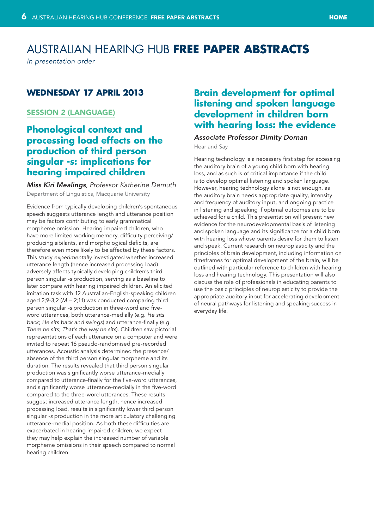# <span id="page-5-0"></span>Australian Hearing Hub **FREE PAPER ABSTRACTS**

*In presentation order*

## **Wednesday 17 April 2013**

## Session 2 (Language)

# **Phonological context and processing load effects on the production of third person singular -s: implications for hearing impaired children**

*Miss Kiri Mealings, Professor Katherine Demuth* Department of Linguistics, Macquarie University

Evidence from typically developing children's spontaneous speech suggests utterance length and utterance position may be factors contributing to early grammatical morpheme omission. Hearing impaired children, who have more limited working memory, difficulty perceiving/ producing sibilants, and morphological deficits, are therefore even more likely to be affected by these factors. This study *experimentally* investigated whether increased utterance length (hence increased processing load) adversely affects typically developing children's third person singular *-s* production, serving as a baseline to later compare with hearing impaired children. An elicited imitation task with 12 Australian-English-speaking children aged 2;9-3;2 (*M =* 2;11) was conducted comparing third person singular *-s* production in three-word and fiveword utterances, both utterance-medially (e.g. *He sits back*; *He sits back and swings*) and utterance-finally (e.g. *There he sits*; *That's the way he sits*). Children saw pictorial representations of each utterance on a computer and were invited to repeat 16 pseudo-randomised pre-recorded utterances. Acoustic analysis determined the presence/ absence of the third person singular morpheme and its duration. The results revealed that third person singular production was significantly worse utterance-medially compared to utterance-finally for the five-word utterances, and significantly worse utterance-medially in the five-word compared to the three-word utterances. These results suggest increased utterance length, hence increased processing load, results in significantly lower third person singular *-s* production in the more articulatory challenging utterance-medial position. As both these difficulties are exacerbated in hearing impaired children, we expect they may help explain the increased number of variable morpheme omissions in their speech compared to normal hearing children.

## **Brain development for optimal listening and spoken language development in children born with hearing loss: the evidence**

#### *Associate Professor Dimity Dornan*

Hear and Say

Hearing technology is a necessary first step for accessing the auditory brain of a young child born with hearing loss, and as such is of critical importance if the child is to develop optimal listening and spoken language. However, hearing technology alone is not enough, as the auditory brain needs appropriate quality, intensity and frequency of auditory input, and ongoing practice in listening and speaking if optimal outcomes are to be achieved for a child. This presentation will present new evidence for the neurodevelopmental basis of listening and spoken language and its significance for a child born with hearing loss whose parents desire for them to listen and speak. Current research on neuroplasticity and the principles of brain development, including information on timeframes for optimal development of the brain, will be outlined with particular reference to children with hearing loss and hearing technology. This presentation will also discuss the role of professionals in educating parents to use the basic principles of neuroplasticity to provide the appropriate auditory input for accelerating development of neural pathways for listening and speaking success in everyday life.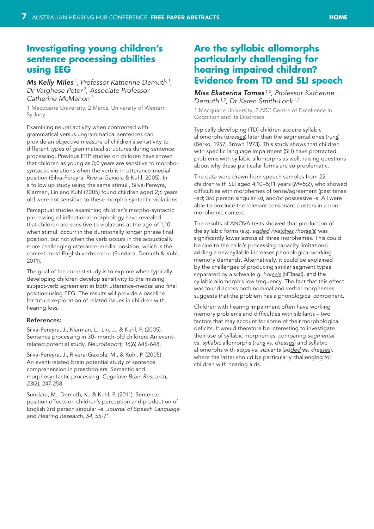## <span id="page-6-0"></span>**Investigating young children's sentence processing abilities using EEG**

## *Ms Kelly Miles 1, Professor Katherine Demuth <sup>1</sup> , Dr Varghese Peter 2, Associate Professor Catherine McMahon 1*

1 Macquarie University, 2 Marcs, University of Western Sydney

Examining neural activity when confronted with grammatical versus ungrammatical sentences can provide an objective measure of children's sensitivity to different types of grammatical structures during sentence processing. Previous ERP studies on children have shown that children as young as 3;0 years are sensitive to morphosyntactic violations when the verb is in utterance-medial position (Silva-Pereyra, Rivera-Gaxiola & Kuhl, 2005). In a follow up study using the same stimuli, Silva-Pereyra, Klarman, Lin and Kuhl (2005) found children aged 2;6 years old were not sensitive to these morpho-syntactic violations.

Perceptual studies examining children's morpho-syntactic processing of inflectional morphology have revealed that children are sensitive to violations at the age of 1;10 when stimuli occurr in the durationally longer phrase final position, but not when the verb occurs in the acoustically more challenging utterance-medial position, which is the context most English verbs occur (Sundara, Demuth & Kuhl, 2011).

The goal of the current study is to explore when typically developing children develop sensitivity to the missing subject-verb agreement in both utterance-medial and final position using EEG. The results will provide a baseline for future exploration of related issues in children with hearing loss.

#### References:

Silva-Pereyra, J., Klarman, L., Lin, J., & Kuhl, P. (2005). Sentence processing in 30- month-old children: An eventrelated potential study. *NeuroReport, 16*(6) 645-648.

Silva-Pereyra, J., Rivera-Gaxiola, M., & Kuhl, P. (2005). An event-related brain potential study of sentence comprehension in preschoolers: Semantic and morphosyntactic processing. *Cognitive Brain Research, 23*(2), 247-258.

Sundara, M., Demuth, K., & Kuhl, P. (2011). Sentenceposition effects on children's perception and production of English 3rd person singular –s. *Journal of Speech Language and Hearing Research, 54*, 55-71.

# **Are the syllabic allomorphs particularly challenging for hearing impaired children? Evidence from TD and SLI speech**

#### *Miss Ekaterina Tomas 1,2, Professor Katherine Demuth 1,2, Dr Karen Smith-Lock 1,2*

1 Macquarie University, 2 ARC Centre of Excellence in Cognition and its Disorders

Typically developing (TD) children acquire syllabic allomorphs (*dresses*) later than the segmental ones (*runs*) (Berko, 1957; Brown 1973). This study shows that children with specific language impairment (SLI) have protracted problems with syllabic allomorphs as well, raising questions about why these particular forms are so problematic.

The data were drawn from speech samples from 22 children with SLI aged 4;10–5;11 years (*M*=5;2), who showed difficulties with morphemes of tense/agreement (past tense *-ed*; 3rd person singular *-s*), and/or possessive *-s*. All were able to produce the relevant consonant clusters in a nonmorphemic context.

The results of ANOVA tests showed that production of the syllabic forms (e.g. *added /watches /horse's*) was significantly lower across all three morphemes. This could be due to the child's processing capacity limitations: adding a new syllable increases phonological working memory demands. Alternatively, it could be explained by the challenges of producing similar segment types separated by a schwa (e.g. *horse's* [h**all**:sez]), and the syllabic allomorph's low frequency. The fact that this effect was found across both nominal and verbal morphemes suggests that the problem has a phonological component.

Children with hearing impairment often have working memory problems and difficulties with sibilants – two factors that may account for some of their morphological deficits. It would therefore be interesting to investigate their use of syllabic morphemes, comparing *segmental* vs. *syllabic* allomorphs (*runs* vs. *dresses*) and syllabic allomorphs with *stops* vs. *sibilants* (*added* vs. *dresses*), where the latter should be particularly challenging for children with hearing aids.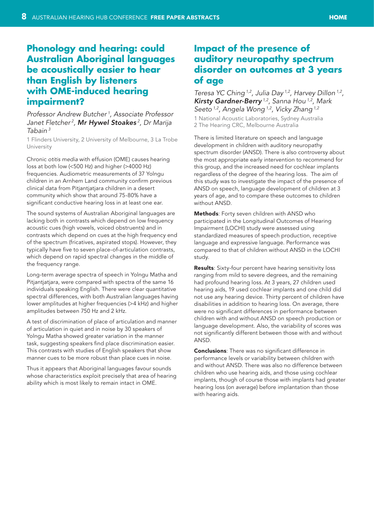#### **HOME**

# <span id="page-7-0"></span>**Phonology and hearing: could Australian Aboriginal languages be acoustically easier to hear than English by listeners with OME-induced hearing impairment?**

*Professor Andrew Butcher 1, Associate Professor Janet Fletcher 2, Mr Hywel Stoakes 2, Dr Marija Tabain 3*

1 Flinders University, 2 University of Melbourne, 3 La Trobe University

Chronic *otitis media* with effusion (OME) causes hearing loss at both low (<500 Hz) and higher (>4000 Hz) frequencies. Audiometric measurements of 37 Yolngu children in an Arnhem Land community confirm previous clinical data from Pitjantjatjara children in a desert community which show that around 75-80% have a significant conductive hearing loss in at least one ear.

The sound systems of Australian Aboriginal languages are lacking both in contrasts which depend on low frequency acoustic cues (high vowels, voiced obstruents) and in contrasts which depend on cues at the high frequency end of the spectrum (fricatives, aspirated stops). However, they typically have five to seven place-of-articulation contrasts, which depend on rapid spectral changes in the middle of the frequency range.

Long-term average spectra of speech in Yolngu Matha and Pitjantjatjara, were compared with spectra of the same 16 individuals speaking English. There were clear quantitative spectral differences, with both Australian languages having lower amplitudes at higher frequencies (>4 kHz) and higher amplitudes between 750 Hz and 2 kHz.

A test of discrimination of place of articulation and manner of articulation in quiet and in noise by 30 speakers of Yolngu Matha showed greater variation in the manner task, suggesting speakers find place discrimination easier. This contrasts with studies of English speakers that show manner cues to be more robust than place cues in noise.

Thus it appears that Aboriginal languages favour sounds whose characteristics exploit precisely that area of hearing ability which is most likely to remain intact in OME.

## **Impact of the presence of auditory neuropathy spectrum disorder on outcomes at 3 years of age**

*Teresa YC Ching 1,2, Julia Day 1,2, Harvey Dillon 1,2, Kirsty Gardner-Berry 1,2, Sanna Hou 1,2, Mark Seeto 1,2, Angela Wong 1,2, Vicky Zhang 1,2*

1 National Acoustic Laboratories, Sydney Australia 2 The Hearing CRC, Melbourne Australia

There is limited literature on speech and language development in children with auditory neuropathy spectrum disorder (ANSD). There is also controversy about the most appropriate early intervention to recommend for this group, and the increased need for cochlear implants regardless of the degree of the hearing loss. The aim of this study was to investigate the impact of the presence of ANSD on speech, language development of children at 3 years of age, and to compare these outcomes to children without ANSD.

Methods: Forty seven children with ANSD who participated in the Longitudinal Outcomes of Hearing Impairment (LOCHI) study were assessed using standardized measures of speech production, receptive language and expressive language. Performance was compared to that of children without ANSD in the LOCHI study.

Results: Sixty-four percent have hearing sensitivity loss ranging from mild to severe degrees, and the remaining had profound hearing loss. At 3 years, 27 children used hearing aids, 19 used cochlear implants and one child did not use any hearing device. Thirty percent of children have disabilities in addition to hearing loss. On average, there were no significant differences in performance between children with and without ANSD on speech production or language development. Also, the variability of scores was not significantly different between those with and without ANSD.

**Conclusions:** There was no significant difference in performance levels or variability between children with and without ANSD. There was also no difference between children who use hearing aids, and those using cochlear implants, though of course those with implants had greater hearing loss (on average) before implantation than those with hearing aids.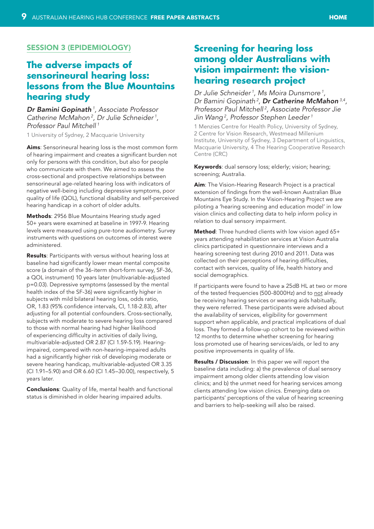## <span id="page-8-0"></span>Session 3 (Epidemiology)

# **The adverse impacts of sensorineural hearing loss: lessons from the Blue Mountains hearing study**

*Dr Bamini Gopinath 1, Associate Professor Catherine McMahon 2, Dr Julie Schneider 1, Professor Paul Mitchell 1*

1 University of Sydney, 2 Macquarie University

Aims: Sensorineural hearing loss is the most common form of hearing impairment and creates a significant burden not only for persons with this condition, but also for people who communicate with them. We aimed to assess the cross-sectional and prospective relationships between sensorineural age-related hearing loss with indicators of negative well-being including depressive symptoms, poor quality of life (QOL), functional disability and self-perceived hearing handicap in a cohort of older adults.

Methods: 2956 Blue Mountains Hearing study aged 50+ years were examined at baseline in 1997-9. Hearing levels were measured using pure-tone audiometry. Survey instruments with questions on outcomes of interest were administered.

Results: Participants with versus without hearing loss at baseline had significantly lower mean mental composite score (a domain of the 36-iterm short-form survey, SF-36, a QOL instrument) 10 years later (multivariable-adjusted p=0.03). Depressive symptoms (assessed by the mental health index of the SF-36) were significantly higher in subjects with mild bilateral hearing loss, odds ratio, OR, 1.83 (95% confidence intervals, CI, 1.18-2.83), after adjusting for all potential confounders. Cross-sectionally, subjects with moderate to severe hearing loss compared to those with normal hearing had higher likelihood of experiencing difficulty in activities of daily living, multivariable-adjusted OR 2.87 (CI 1.59-5.19). Hearingimpaired, compared with non-hearing-impaired adults had a significantly higher risk of developing moderate or severe hearing handicap, multivariable-adjusted OR 3.35 (CI 1.91–5.90) and OR 6.60 (CI 1.45–30.00), respectively, 5 years later.

Conclusions: Quality of life, mental health and functional status is diminished in older hearing impaired adults.

## **Screening for hearing loss among older Australians with vision impairment: the visionhearing research project**

*Dr Julie Schneider 1, Ms Moira Dunsmore 1, Dr Bamini Gopinath 2, Dr Catherine McMahon 3,4, Professor Paul Mitchell 2, Associate Professor Jie Jin Wang 2, Professor Stephen Leeder 1*

1 Menzies Centre for Health Policy, University of Sydney, 2 Centre for Vision Research, Westmead Millenium Institute, University of Sydney, 3 Department of Linguistics, Macquarie University, 4 The Hearing Cooperative Research Centre (CRC)

Keywords: dual sensory loss; elderly; vision; hearing; screening; Australia.

Aim: The Vision-Hearing Research Project is a practical extension of findings from the well-known Australian Blue Mountains Eye Study. In the Vision-Hearing Project we are piloting a 'hearing screening and education model' in low vision clinics and collecting data to help inform policy in relation to dual sensory impairment.

Method: Three hundred clients with low vision aged 65+ years attending rehabilitation services at Vision Australia clinics participated in questionnaire interviews and a hearing screening test during 2010 and 2011. Data was collected on their perceptions of hearing difficulties, contact with services, quality of life, health history and social demographics.

If participants were found to have ≥ 25dB HL at two or more of the tested frequencies (500-8000Hz) and to not already be receiving hearing services or wearing aids habitually, they were referred. These participants were advised about the availability of services, eligibility for government support when applicable, and practical implications of dual loss. They formed a follow-up cohort to be reviewed within 12 months to determine whether screening for hearing loss promoted use of hearing services/aids, or led to any positive improvements in quality of life.

Results / Discussion: In this paper we will report the baseline data including: a) the prevalence of dual sensory impairment among older clients attending low vision clinics; and b) the unmet need for hearing services among clients attending low vision clinics. Emerging data on participants' perceptions of the value of hearing screening and barriers to help-seeking will also be raised.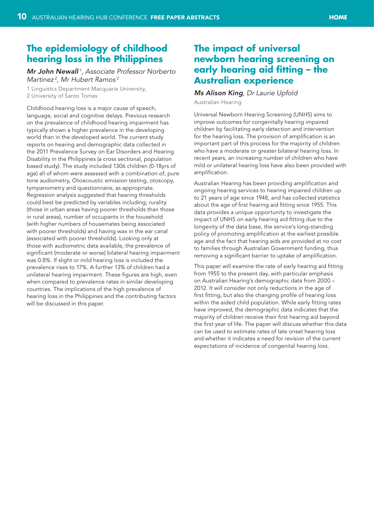## <span id="page-9-0"></span>**The epidemiology of childhood hearing loss in the Philippines**

*Mr John Newall 1, Associate Professor Norberto Martinez 2, Mr Hubert Ramos 2*

1 Linguistcs Department Macquarie University, 2 University of Santo Tomas

Childhood hearing loss is a major cause of speech, language, social and cognitive delays. Previous research on the prevalence of childhood hearing impairment has typically shown a higher prevalence in the developing world than in the developed world. The current study reports on hearing and demographic data collected in the 2011 Prevalence Survey on Ear Disorders and Hearing Disability in the Philippines (a cross sectional, population based study). The study included 1306 children (0-18yrs of age) all of whom were assessed with a combination of; pure tone audiometry, Otoacoustic emission testing, otoscopy, tympanometry and questionnaire, as appropriate. Regression analysis suggested that hearing thresholds could best be predicted by variables including; rurality (those in urban areas having poorer thresholds than those in rural areas), number of occupants in the household (with higher numbers of housemates being associated with poorer thresholds) and having wax in the ear canal (associated with poorer thresholds). Looking only at those with audiometric data available, the prevalence of significant (moderate or worse) bilateral hearing impairment was 0.8%. If slight or mild hearing loss is included the prevalence rises to 17%. A further 13% of children had a unilateral hearing impairment. These figures are high, even when compared to prevalence rates in similar developing countries. The implications of the high prevalence of hearing loss in the Philippines and the contributing factors will be discussed in this paper.

# **The impact of universal newborn hearing screening on early hearing aid fitting – the Australian experience**

# *Ms Alison King, Dr Laurie Upfold*

Australian Hearing

Universal Newborn Hearing Screening (UNHS) aims to improve outcomes for congenitally hearing impaired children by facilitating early detection and intervention for the hearing loss. The provision of amplification is an important part of this process for the majority of children who have a moderate or greater bilateral hearing loss. In recent years, an increasing number of children who have mild or unilateral hearing loss have also been provided with amplification.

Australian Hearing has been providing amplification and ongoing hearing services to hearing impaired children up to 21 years of age since 1948, and has collected statistics about the age of first hearing aid fitting since 1955. This data provides a unique opportunity to investigate the impact of UNHS on early hearing aid fitting due to the longevity of the data base, the service's long-standing policy of promoting amplification at the earliest possible age and the fact that hearing aids are provided at no cost to families through Australian Government funding, thus removing a significant barrier to uptake of amplification.

This paper will examine the rate of early hearing aid fitting from 1955 to the present day, with particular emphasis on Australian Hearing's demographic data from 2000 – 2012. It will consider not only reductions in the age of first fitting, but also the changing profile of hearing loss within the aided child population. While early fitting rates have improved, the demographic data indicates that the majority of children receive their first hearing aid beyond the first year of life. The paper will discuss whether this data can be used to estimate rates of late onset hearing loss and whether it indicates a need for revision of the current expectations of incidence of congenital hearing loss.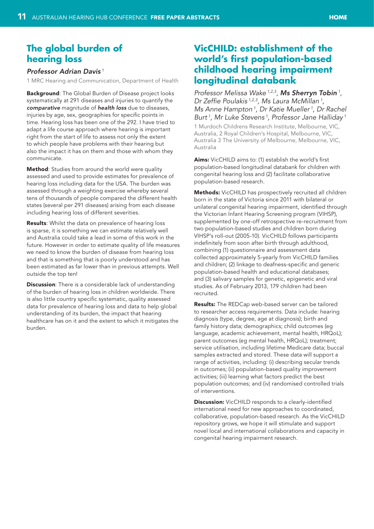## <span id="page-10-0"></span>**The global burden of hearing loss**

#### *Professor Adrian Davis<sup>1</sup>*

1 MRC Hearing and Communication, Department of Health

**Background:** The Global Burden of Disease project looks systematically at 291 diseases and injuries to quantify the *comparative* magnitude of *health loss* due to diseases, injuries by age, sex, geographies for specific points in time. Hearing loss has been one of the 292. I have tried to adapt a life course approach where hearing is important right from the start of life to assess not only the extent to which people have problems with their hearing but also the impact it has on them and those with whom they communicate.

Method: Studies from around the world were quality assessed and used to provide estimates for prevalence of hearing loss including data for the USA. The burden was assessed through a weighting exercise whereby several tens of thousands of people compared the different health states (several per 291 diseases) arising from each disease including hearing loss of different severities.

Results: Whilst the data on prevalence of hearing loss is sparse, it is something we can estimate relatively well and Australia could take a lead in some of this work in the future. However in order to estimate quality of life measures we need to know the burden of disease from hearing loss and that is something that is poorly understood and has been estimated as far lower than in previous attempts. Well outside the top ten!

**Discussion**: There is a considerable lack of understanding of the burden of hearing loss in children worldwide. There is also little country specific systematic, quality assessed data for prevalence of hearing loss and data to help global understanding of its burden, the impact that hearing healthcare has on it and the extent to which it mitigates the burden.

## **VicCHILD: establishment of the world's first population-based childhood hearing impairment longitudinal databank**

*Professor Melissa Wake 1,2,3, Ms Sherryn Tobin <sup>1</sup> , Dr Zeffie Poulakis 1,2,3, Ms Laura McMillan <sup>1</sup> , Ms Anne Hampton 1, Dr Katie Mueller 1, Dr Rachel Burt 1, Mr Luke Stevens 1, Professor Jane Halliday <sup>1</sup>*

1 Murdoch Childrens Research Institute, Melbourne, VIC, Australia, 2 Royal Children's Hospital, Melbourne, VIC, Australia 3 The University of Melbourne, Melbourne, VIC, Australia

**Aims:** VicCHILD aims to: (1) establish the world's first population-based longitudinal databank for children with congenital hearing loss and (2) facilitate collaborative population-based research.

Methods: VicCHILD has prospectively recruited all children born in the state of Victoria since 2011 with bilateral or unilateral congenital hearing impairment, identified through the Victorian Infant Hearing Screening program (VIHSP), supplemented by one-off retrospective re-recruitment from two population-based studies and children born during VIHSP's roll-out (2005-10). VicCHILD follows participants indefinitely from soon after birth through adulthood, combining (1) questionnaire and assessment data collected approximately 5-yearly from VicCHILD families and children; (2) linkage to deafness-specific and generic population-based health and educational databases; and (3) salivary samples for genetic, epigenetic and viral studies. As of February 2013, 179 children had been recruited.

Results: The REDCap web-based server can be tailored to researcher access requirements. Data include: hearing diagnosis (type, degree, age at diagnosis); birth and family history data; demographics; child outcomes (eg language, academic achievement, mental health, HRQoL); parent outcomes (eg mental health, HRQoL); treatment; service utilisation, including lifetime Medicare data; buccal samples extracted and stored. These data will support a range of activities, including: (i) describing secular trends in outcomes; (ii) population-based quality improvement activities; (iii) learning what factors predict the best population outcomes; and (iv) randomised controlled trials of interventions.

**Discussion:** VicCHILD responds to a clearly-identified international need for new approaches to coordinated, collaborative, population-based research. As the VicCHILD repository grows, we hope it will stimulate and support novel local and international collaborations and capacity in congenital hearing impairment research.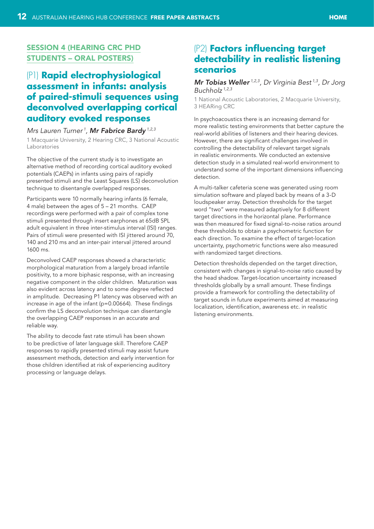## <span id="page-11-0"></span>Session 4 (HEARing CRC PhD Students – Oral Posters)

# (P1) **Rapid electrophysiological assessment in infants: analysis of paired-stimuli sequences using deconvolved overlapping cortical auditory evoked responses**

#### *Mrs Lauren Turner 1, Mr Fabrice Bardy 1,2,3*

1 Macquarie University, 2 Hearing CRC, 3 National Acoustic Laboratories

The objective of the current study is to investigate an alternative method of recording cortical auditory evoked potentials (CAEPs) in infants using pairs of rapidly presented stimuli and the Least Squares (LS) deconvolution technique to disentangle overlapped responses.

Participants were 10 normally hearing infants (6 female, 4 male) between the ages of 5 – 21 months. CAEP recordings were performed with a pair of complex tone stimuli presented through insert earphones at 65dB SPL adult equivalent in three inter-stimulus interval (ISI) ranges. Pairs of stimuli were presented with ISI jittered around 70, 140 and 210 ms and an inter-pair interval jittered around 1600 ms.

Deconvolved CAEP responses showed a characteristic morphological maturation from a largely broad infantile positivity, to a more biphasic response, with an increasing negative component in the older children. Maturation was also evident across latency and to some degree reflected in amplitude. Decreasing P1 latency was observed with an increase in age of the infant (p=0.00664). These findings confirm the LS deconvolution technique can disentangle the overlapping CAEP responses in an accurate and reliable way.

The ability to decode fast rate stimuli has been shown to be predictive of later language skill. Therefore CAEP responses to rapidly presented stimuli may assist future assessment methods, detection and early intervention for those children identified at risk of experiencing auditory processing or language delays.

# (P2) **Factors influencing target detectability in realistic listening scenarios**

## *Mr Tobias Weller 1,2,3, Dr Virginia Best 1,3, Dr Jorg Buchholz 1,2,3*

1 National Acoustic Laboratories, 2 Macquarie University, 3 HEARing CRC

In psychoacoustics there is an increasing demand for more realistic testing environments that better capture the real-world abilities of listeners and their hearing devices. However, there are significant challenges involved in controlling the detectability of relevant target signals in realistic environments. We conducted an extensive detection study in a simulated real-world environment to understand some of the important dimensions influencing detection.

A multi-talker cafeteria scene was generated using room simulation software and played back by means of a 3-D loudspeaker array. Detection thresholds for the target word "two" were measured adaptively for 8 different target directions in the horizontal plane. Performance was then measured for fixed signal-to-noise ratios around these thresholds to obtain a psychometric function for each direction. To examine the effect of target-location uncertainty, psychometric functions were also measured with randomized target directions.

Detection thresholds depended on the target direction, consistent with changes in signal-to-noise ratio caused by the head shadow. Target-location uncertainty increased thresholds globally by a small amount. These findings provide a framework for controlling the detectability of target sounds in future experiments aimed at measuring localization, identification, awareness etc. in realistic listening environments.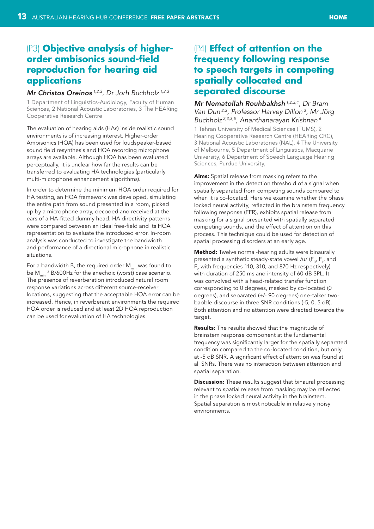#### **HOME**

# <span id="page-12-0"></span>(P3) **Objective analysis of higherorder ambisonics sound-field reproduction for hearing aid applications**

#### *Mr Christos Oreinos 1,2,3, Dr Jorh Buchholz 1,2,3*

1 Department of Linguistics-Audiology, Faculty of Human Sciences, 2 National Acoustic Laboratories, 3 The HEARing Cooperative Research Centre

The evaluation of hearing aids (HAs) inside realistic sound environments is of increasing interest. Higher-order Ambisonics (HOA) has been used for loudspeaker-based sound field resynthesis and HOA recording microphone arrays are available. Although HOA has been evaluated perceptually, it is unclear how far the results can be transferred to evaluating HA technologies (particularly multi-microphone enhancement algorithms).

In order to determine the minimum HOA order required for HA testing, an HOA framework was developed, simulating the entire path from sound presented in a room, picked up by a microphone array, decoded and received at the ears of a HA-fitted dummy head. HA directivity patterns were compared between an ideal free-field and its HOA representation to evaluate the introduced error. In-room analysis was conducted to investigate the bandwidth and performance of a directional microphone in realistic situations.

For a bandwidth B, the required order  $M_{min}$  was found to be  $M_{min}$ <sup>3</sup> B/600Hz for the anechoic (worst) case scenario. The presence of reverberation introduced natural room response variations across different source-receiver locations, suggesting that the acceptable HOA error can be increased. Hence, in reverberant environments the required HOA order is reduced and at least 2D HOA reproduction can be used for evaluation of HA technologies.

## (P4) **Effect of attention on the frequency following response to speech targets in competing spatially collocated and separated discourse**

*Mr Nematollah Rouhbakhsh 1,2,3,4, Dr Bram Van Dun 2,3, Professor Harvey Dillon 3, Mr Jörg Buchholz 2,3,3,5, Ananthanarayan Krishnan 6*

1 Tehran University of Medical Sciences (TUMS), 2 Hearing Cooperative Research Centre (HEARing CRC), 3 National Acoustic Laboratories (NAL), 4 The University of Melbourne, 5 Department of Linguistics, Macquarie University, 6 Department of Speech Language Hearing Sciences, Purdue University,

Aims: Spatial release from masking refers to the improvement in the detection threshold of a signal when spatially separated from competing sounds compared to when it is co-located. Here we examine whether the phase locked neural activity, reflected in the brainstem frequency following response (FFR), exhibits spatial release from masking for a signal presented with spatially separated competing sounds, and the effect of attention on this process. This technique could be used for detection of spatial processing disorders at an early age.

Method: Twelve normal-hearing adults were binaurally presented a synthetic steady-state vowel /u/ (F $_{\rm o}$ , F $_{\rm p}$ , and  $\mathsf{F}_\mathsf{2}$  with frequencies 110, 310, and 870 Hz respectively) with duration of 250 ms and intensity of 60 dB SPL. It was convolved with a head-related transfer function corresponding to 0 degrees, masked by co-located (0 degrees), and separated (+/- 90 degrees) one-talker twobabble discourse in three SNR conditions (-5, 0, 5 dB). Both attention and no attention were directed towards the target.

Results: The results showed that the magnitude of brainstem response component at the fundamental frequency was significantly larger for the spatially separated condition compared to the co-located condition, but only at -5 dB SNR. A significant effect of attention was found at all SNRs. There was no interaction between attention and spatial separation.

**Discussion:** These results suggest that binaural processing relevant to spatial release from masking may be reflected in the phase locked neural activity in the brainstem. Spatial separation is most noticable in relatively noisy environments.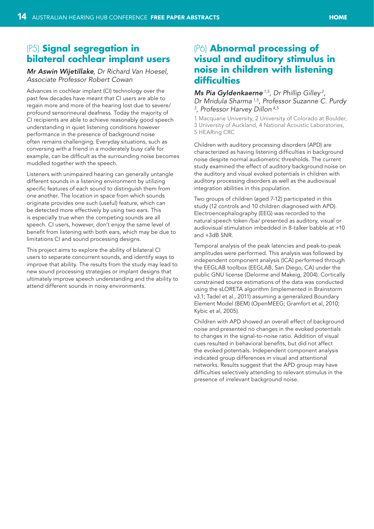#### **HOME**

## <span id="page-13-0"></span>(P5) **Signal segregation in bilateral cochlear implant users**

## *Mr Aswin Wijetillake, Dr Richard Van Hoesel, Associate Professor Robert Cowan*

Advances in cochlear implant (CI) technology over the past few decades have meant that CI users are able to regain more and more of the hearing lost due to severe/ profound sensorineural deafness. Today the majority of CI recipients are able to achieve reasonably good speech understanding in quiet listening conditions however performance in the presence of background noise often remains challenging. Everyday situations, such as conversing with a friend in a moderately busy café for example, can be difficult as the surrounding noise becomes muddled together with the speech.

Listeners with unimpaired hearing can generally untangle different sounds in a listening environment by utilizing specific features of each sound to distinguish them from one another. The location in space from which sounds originate provides one such (useful) feature, which can be detected more effectively by using two ears. This is especially true when the competing sounds are all speech. CI users, however, don't enjoy the same level of benefit from listening with both ears, which may be due to limitations CI and sound processing designs.

This project aims to explore the ability of bilateral CI users to separate concurrent sounds, and identify ways to improve that ability. The results from the study may lead to new sound processing strategies or implant designs that ultimately improve speech understanding and the ability to attend different sounds in noisy environments.

# (P6) **Abnormal processing of visual and auditory stimulus in noise in children with listening difficulties**

## *Ms Pia Gyldenkaerne 1,5, Dr Phillip Gilley 2, Dr Mridula Sharma 1,5, Professor Suzanne C. Purdy 3 , Professor Harvey Dillon 4,5*

1 Macquarie University, 2 University of Colorado at Boulder, 3 University of Auckland, 4 National Acoustic Laboratories, 5 HEARing CRC

Children with auditory processing disorders (APD) are characterized as having listening difficulties in background noise despite normal audiometric thresholds. The current study examined the effect of auditory background noise on the auditory and visual evoked potentials in children with auditory processing disorders as well as the audiovisual integration abilities in this population.

Two groups of children (aged 7-12) participated in this study (12 controls and 10 children diagnosed with APD). Electroencephalography (EEG) was recorded to the natural speech token /ba/ presented as auditory, visual or audiovisual stimulation imbedded in 8-talker babble at +10 and +3dB SNR.

Temporal analysis of the peak latencies and peak-to-peak amplitudes were performed. This analysis was followed by independent component analysis (ICA) performed through the EEGLAB toolbox (EEGLAB, San Diego, CA) under the public GNU license (Delorme and Makeig, 2004). Cortically constrained source estimations of the data was conducted using the sLORETA algorithm (implemented in Brainstorm v3.1; Tadel et al., 2011) assuming a generalized Boundary Element Model (BEM) (OpenMEEG; Gramfort et al, 2010; Kybic et al, 2005).

Children with APD showed an overall effect of background noise and presented no changes in the evoked potentials to changes in the signal-to-noise ratio. Addition of visual cues resulted in behavioral benefits, but did not affect the evoked potentials. Independent component analysis indicated group differences in visual and attentional networks. Results suggest that the APD group may have difficulties selectively attending to relevant stimulus in the presence of irrelevant background noise.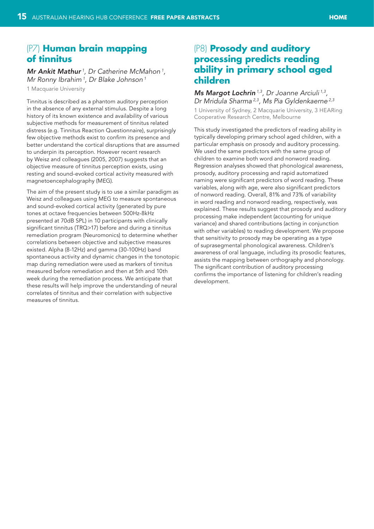## <span id="page-14-0"></span>(P7) **Human brain mapping of tinnitus**

*Mr Ankit Mathur 1, Dr Catherine McMahon 1, Mr Ronny Ibrahim 1, Dr Blake Johnson 1* 1 Macquarie University

Tinnitus is described as a phantom auditory perception in the absence of any external stimulus. Despite a long history of its known existence and availability of various subjective methods for measurement of tinnitus related distress (e.g. Tinnitus Reaction Questionnaire), surprisingly few objective methods exist to confirm its presence and better understand the cortical disruptions that are assumed to underpin its perception. However recent research by Weisz and colleagues (2005, 2007) suggests that an objective measure of tinnitus perception exists, using resting and sound-evoked cortical activity measured with magnetoencephalography (MEG).

The aim of the present study is to use a similar paradigm as Weisz and colleagues using MEG to measure spontaneous and sound-evoked cortical activity (generated by pure tones at octave frequencies between 500Hz-8kHz presented at 70dB SPL) in 10 participants with clinically significant tinnitus (TRQ>17) before and during a tinnitus remediation program (Neuromonics) to determine whether correlations between objective and subjective measures existed. Alpha (8-12Hz) and gamma (30-100Hz) band spontaneous activity and dynamic changes in the tonotopic map during remediation were used as markers of tinnitus measured before remediation and then at 5th and 10th week during the remediation process. We anticipate that these results will help improve the understanding of neural correlates of tinnitus and their correlation with subjective measures of tinnitus.

## (P8) **Prosody and auditory processing predicts reading ability in primary school aged children**

*Ms Margot Lochrin 1,3, Dr Joanne Arciuli 1,3, Dr Mridula Sharma 2,3, Ms Pia Gyldenkaerne 2,3* 1 University of Sydney, 2 Macquarie University, 3 HEARing Cooperative Research Centre, Melbourne

This study investigated the predictors of reading ability in typically developing primary school aged children, with a particular emphasis on prosody and auditory processing. We used the same predictors with the same group of children to examine both word and nonword reading. Regression analyses showed that phonological awareness, prosody, auditory processing and rapid automatized naming were significant predictors of word reading. These variables, along with age, were also significant predictors of nonword reading. Overall, 81% and 73% of variability in word reading and nonword reading, respectively, was explained. These results suggest that prosody and auditory processing make independent (accounting for unique variance) and shared contributions (acting in conjunction with other variables) to reading development. We propose that sensitivity to prosody may be operating as a type of suprasegmental phonological awareness. Children's awareness of oral language, including its prosodic features, assists the mapping between orthography and phonology. The significant contribution of auditory processing confirms the importance of listening for children's reading development.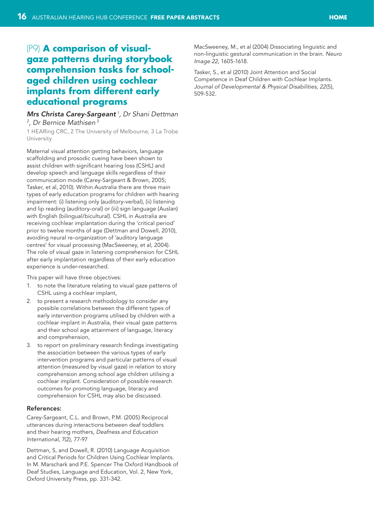# <span id="page-15-0"></span>(P9) **A comparison of visualgaze patterns during storybook comprehension tasks for schoolaged children using cochlear implants from different early educational programs**

## *Mrs Christa Carey-Sargeant 1, Dr Shani Dettman 2 , Dr Bernice Mathisen 3*

1 HEARing CRC, 2 The University of Melbourne, 3 La Trobe **University** 

Maternal visual attention getting behaviors, language scaffolding and prosodic cueing have been shown to assist children with significant hearing loss (CSHL) and develop speech and language skills regardless of their communication mode (Carey-Sargeant & Brown, 2005; Tasker, et al, 2010). Within Australia there are three main types of early education programs for children with hearing impairment: (i) listening only (auditory-verbal), (ii) listening and lip reading (auditory-oral) or (iii) sign language (Auslan) with English (bilingual/bicultural). CSHL in Australia are receiving cochlear implantation during the 'critical period' prior to twelve months of age (Dettman and Dowell, 2010), avoiding neural re-organization of 'auditory language centres' for visual processing (MacSweeney, et al, 2004). The role of visual gaze in listening comprehension for CSHL after early implantation regardless of their early education experience is under-researched.

This paper will have three objectives:

- 1. to note the literature relating to visual gaze patterns of CSHL using a cochlear implant,
- 2. to present a research methodology to consider any possible correlations between the different types of early intervention programs utilised by children with a cochlear implant in Australia, their visual gaze patterns and their school age attainment of language, literacy and comprehension,
- 3. to report on preliminary research findings investigating the association between the various types of early intervention programs and particular patterns of visual attention (measured by visual gaze) in relation to story comprehension among school age children utilising a cochlear implant. Consideration of possible research outcomes for promoting language, literacy and comprehension for CSHL may also be discussed.

#### References:

Carey-Sargeant, C.L. and Brown, P.M. (2005) Reciprocal utterances during interactions between deaf toddlers and their hearing mothers, *Deafness and Education International*, 7(2), 77-97

Dettman, S, and Dowell, R. (2010) Language Acquisition and Critical Periods for Children Using Cochlear Implants. In M. Marschark and P.E. Spencer The Oxford Handbook of Deaf Studies, Language and Education, Vol. 2, New York, Oxford University Press, pp. 331-342.

MacSweeney, M., et al (2004) Dissociating linguistic and non-linguistic gestural communication in the brain. *Neuro Image 22*, 1605-1618.

Tasker, S., et al (2010) Joint Attention and Social Competence in Deaf Children with Cochlear Implants. *Journal of Developmental & Physical Disabilities, 22*(5), 509-532.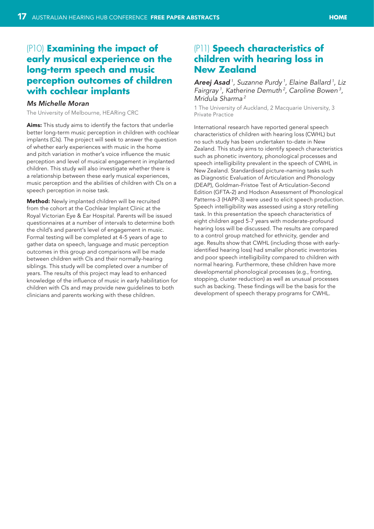#### **HOME**

## <span id="page-16-0"></span>(P10) **Examining the impact of early musical experience on the long-term speech and music perception outcomes of children with cochlear implants**

#### *Ms Michelle Moran*

The University of Melbourne, HEARing CRC

Aims: This study aims to identify the factors that underlie better long-term music perception in children with cochlear implants (CIs). The project will seek to answer the question of whether early experiences with music in the home and pitch variation in mother's voice influence the music perception and level of musical engagement in implanted children. This study will also investigate whether there is a relationship between these early musical experiences, music perception and the abilities of children with CIs on a speech perception in noise task.

Method: Newly implanted children will be recruited from the cohort at the Cochlear Implant Clinic at the Royal Victorian Eye & Ear Hospital. Parents will be issued questionnaires at a number of intervals to determine both the child's and parent's level of engagement in music. Formal testing will be completed at 4-5 years of age to gather data on speech, language and music perception outcomes in this group and comparisons will be made between children with CIs and their normally-hearing siblings. This study will be completed over a number of years. The results of this project may lead to enhanced knowledge of the influence of music in early habilitation for children with CIs and may provide new guidelines to both clinicians and parents working with these children.

## (P11) **Speech characteristics of children with hearing loss in New Zealand**

*Areej Asad 1, Suzanne Purdy 1, Elaine Ballard 1, Liz Fairgray 1, Katherine Demuth 2, Caroline Bowen 3, Mridula Sharma 2*

1 The University of Auckland, 2 Macquarie University, 3 Private Practice

International research have reported general speech characteristics of children with hearing loss (CWHL) but no such study has been undertaken to-date in New Zealand. This study aims to identify speech characteristics such as phonetic inventory, phonological processes and speech intelligibility prevalent in the speech of CWHL in New Zealand. Standardised picture-naming tasks such as Diagnostic Evaluation of Articulation and Phonology (DEAP), Goldman-Fristoe Test of Articulation-Second Edition (GFTA-2) and Hodson Assessment of Phonological Patterns-3 (HAPP-3) were used to elicit speech production. Speech intelligibility was assessed using a story retelling task. In this presentation the speech characteristics of eight children aged 5-7 years with moderate-profound hearing loss will be discussed. The results are compared to a control group matched for ethnicity, gender and age. Results show that CWHL (including those with earlyidentified hearing loss) had smaller phonetic inventories and poor speech intelligibility compared to children with normal hearing. Furthermore, these children have more developmental phonological processes (e.g., fronting, stopping, cluster reduction) as well as unusual processes such as backing. These findings will be the basis for the development of speech therapy programs for CWHL.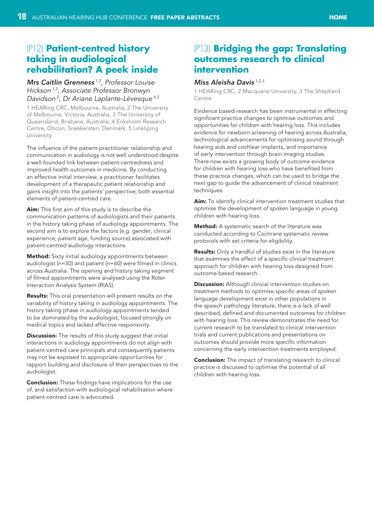# <span id="page-17-0"></span>(P12) **Patient-centred history taking in audiological rehabilitation? A peek inside**

## *Mrs Caitlin Grenness 1,2, Professor Louise Hickson 1,3, Associate Professor Bronwyn Davidson 2, Dr Ariane Laplante-Lévesque 4,5*

1 HEARing CRC, Melbourne, Australia, 2 The University of Melbourne, Victoria, Australia, 3 The University of Queensland, Brisbane, Australia, 4 Eriksholm Research Centre, Oticon, Snekkersten, Denmark, 5 Linköping University

The influence of the patient-practitioner relationship and communication in audiology is not well understood despite a well-founded link between patient-centredness and improved health outcomes in medicine. By conducting an effective initial interview, a practitioner facilitates development of a therapeutic patient relationship and gains insight into the patients' perspective; both essential elements of patient-centred care.

Aim: This first aim of this study is to describe the communication patterns of audiologists and their patients in the history taking phase of audiology appointments. The second aim is to explore the factors (e.g. gender, clinical experience, patient age, funding source) associated with patient-centred audiology interactions.

**Method:** Sixty initial audiology appointments between audiologist (n=30) and patient (n=60) were filmed in clinics across Australia. The opening and history taking segment of filmed appointments were analysed using the Roter Interaction Analysis System (RIAS).

Results: This oral presentation will present results on the variability of history taking in audiology appointments. The history taking phase in audiology appointments tended to be dominated by the audiologist, focused strongly on medical topics and lacked affective responsivity.

**Discussion:** The results of this study suggest that initial interactions in audiology appointments do not align with patient-centred care principals and consequently patients may not be exposed to appropriate opportunities for rapport building and disclosure of their perspectives to the audiologist.

**Conclusion:** These findings have implications for the use of, and satisfaction with audiological rehabilitation where patient-centred care is advocated.

## (P13) **Bridging the gap: Translating outcomes research to clinical intervention**

## *Miss Aleisha Davis 1,2,3*

1 HEARing CRC, 2 Macquarie University, 3 The Shepherd **Centre** 

Evidence based research has been instrumental in effecting significant practice changes to optimise outcomes and opportunities for children with hearing loss. This includes evidence for newborn screening of hearing across Australia, technological advancements for optimising sound through hearing aids and cochlear implants, and importance of early intervention through brain imaging studies. There now exists a growing body of outcome evidence for children with hearing loss who have benefited from these practice changes, which can be used to bridge the next gap to guide the advancement of clinical treatment techniques.

Aim: To identify clinical intervention treatment studies that optimise the development of spoken language in young children with hearing loss.

Method: A systematic search of the literature was conducted according to Cochrane systematic review protocols with set criteria for eligibility.

**Results:** Only a handful of studies exist in the literature that examines the effect of a specific clinical treatment approach for children with hearing loss designed from outcome based research.

**Discussion:** Although clinical intervention studies on treatment methods to optimise specific areas of spoken language development exist in other populations in the speech pathology literature, there is a lack of well described, defined and documented outcomes for children with hearing loss. This review demonstrates the need for current research to be translated to clinical intervention trials and current publications and presentations on outcomes should provide more specific information concerning the early intervention treatments employed.

**Conclusion:** The impact of translating research to clinical practice is discussed to optimise the potential of all children with hearing loss.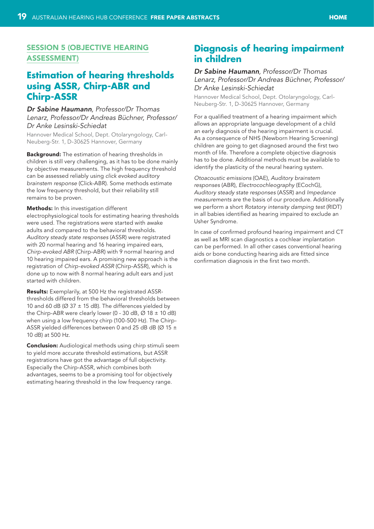## <span id="page-18-0"></span>Session 5 (Objective hearing assessment)

## **Estimation of hearing thresholds using ASSR, Chirp-ABR and Chirp-ASSR**

## *Dr Sabine Haumann, Professor/Dr Thomas Lenarz, Professor/Dr Andreas Büchner, Professor/ Dr Anke Lesinski-Schiedat*

Hannover Medical School, Dept. Otolaryngology, Carl-Neuberg-Str. 1, D-30625 Hannover, Germany

Background: The estimation of hearing thresholds in children is still very challenging, as it has to be done mainly by objective measurements. The high frequency threshold can be assessed reliably using *click evoked auditory brainstem response* (Click-ABR). Some methods estimate the low frequency threshold, but their reliability still remains to be proven.

#### Methods: In this investigation different

electrophysiological tools for estimating hearing thresholds were used. The registrations were started with awake adults and compared to the behavioral thresholds. *Auditory steady state responses* (ASSR) were registrated with 20 normal hearing and 16 hearing impaired ears, *Chirp-evoked ABR* (Chirp-ABR) with 9 normal hearing and 10 hearing impaired ears. A promising new approach is the registration of *Chirp-evoked ASSR* (Chirp-ASSR), which is done up to now with 8 normal hearing adult ears and just started with children.

Results: Exemplarily, at 500 Hz the registrated ASSRthresholds differed from the behavioral thresholds between 10 and 60 dB ( $\varnothing$  37  $\pm$  15 dB). The differences yielded by the Chirp-ABR were clearly lower (0 - 30 dB,  $\varnothing$  18  $\pm$  10 dB) when using a low frequency chirp (100-500 Hz). The Chirp-ASSR yielded differences between 0 and 25 dB dB ( $\varnothing$  15  $\pm$ 10 dB) at 500 Hz.

**Conclusion:** Audiological methods using chirp stimuli seem to yield more accurate threshold estimations, but ASSR registrations have got the advantage of full objectivity. Especially the Chirp-ASSR, which combines both advantages, seems to be a promising tool for objectively estimating hearing threshold in the low frequency range.

## **Diagnosis of hearing impairment in children**

#### *Dr Sabine Haumann, Professor/Dr Thomas Lenarz, Professor/Dr Andreas Büchner, Professor/ Dr Anke Lesinski-Schiedat*

Hannover Medical School, Dept. Otolaryngology, Carl-Neuberg-Str. 1, D-30625 Hannover, Germany

For a qualified treatment of a hearing impairment which allows an appropriate language development of a child an early diagnosis of the hearing impairment is crucial. As a consequence of NHS (Newborn Hearing Screening) children are going to get diagnosed around the first two month of life. Therefore a complete objective diagnosis has to be done. Additional methods must be available to identify the plasticity of the neural hearing system.

*Otoacoustic emissions* (OAE), *Auditory brainstem responses* (ABR), *Electrocochleography* (ECochG), *Auditory steady state responses* (ASSR) and *Impedance measurements* are the basis of our procedure. Additionally we perform a short *Rotatory intensity damping test* (RIDT) in all babies identified as hearing impaired to exclude an Usher Syndrome.

In case of confirmed profound hearing impairment and CT as well as MRI scan diagnostics a cochlear implantation can be performed. In all other cases conventional hearing aids or bone conducting hearing aids are fitted since confirmation diagnosis in the first two month.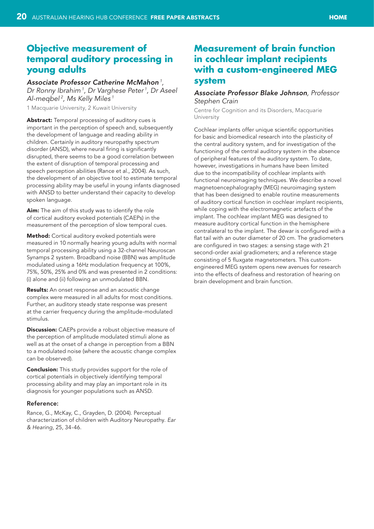## <span id="page-19-0"></span>**Objective measurement of temporal auditory processing in young adults**

#### *Associate Professor Catherine McMahon 1,*

*Dr Ronny Ibrahim 1, Dr Varghese Peter 1, Dr Aseel Al-meqbel 2, Ms Kelly Miles 1*

1 Macquarie University, 2 Kuwait University

Abstract: Temporal processing of auditory cues is important in the perception of speech and, subsequently the development of language and reading ability in children. Certainly in auditory neuropathy spectrum disorder (ANSD), where neural firing is significantly disrupted, there seems to be a good correlation between the extent of disruption of temporal processing and speech perception abilities (Rance et al., 2004). As such, the development of an objective tool to estimate temporal processing ability may be useful in young infants diagnosed with ANSD to better understand their capacity to develop spoken language.

Aim: The aim of this study was to identify the role of cortical auditory evoked potentials (CAEPs) in the measurement of the perception of slow temporal cues.

Method: Cortical auditory evoked potentials were measured in 10 normally hearing young adults with normal temporal processing ability using a 32-channel Neuroscan Synamps 2 system. Broadband noise (BBN) was amplitude modulated using a 16Hz modulation frequency at 100%, 75%, 50%, 25% and 0% and was presented in 2 conditions: (i) alone and (ii) following an unmodulated BBN.

**Results:** An onset response and an acoustic change complex were measured in all adults for most conditions. Further, an auditory steady state response was present at the carrier frequency during the amplitude-modulated stimulus.

**Discussion:** CAEPs provide a robust objective measure of the perception of amplitude modulated stimuli alone as well as at the onset of a change in perception from a BBN to a modulated noise (where the acoustic change complex can be observed).

**Conclusion:** This study provides support for the role of cortical potentials in objectively identifying temporal processing ability and may play an important role in its diagnosis for younger populations such as ANSD.

#### Reference:

Rance, G., McKay, C., Grayden, D. (2004). Perceptual characterization of children with Auditory Neuropathy. *Ear & Hearing*, 25, 34-46.

# **Measurement of brain function in cochlear implant recipients with a custom-engineered MEG system**

#### *Associate Professor Blake Johnson, Professor Stephen Crain*

Centre for Cognition and its Disorders, Macquarie University

Cochlear implants offer unique scientific opportunities for basic and biomedical research into the plasticity of the central auditory system, and for investigation of the functioning of the central auditory system in the absence of peripheral features of the auditory system. To date, however, investigations in humans have been limited due to the incompatibility of cochlear implants with functional neuroimaging techniques. We describe a novel magnetoencephalography (MEG) neuroimaging system that has been designed to enable routine measurements of auditory cortical function in cochlear implant recipients, while coping with the electromagnetic artefacts of the implant. The cochlear implant MEG was designed to measure auditory cortical function in the hemisphere contralateral to the implant. The dewar is configured with a flat tail with an outer diameter of 20 cm. The gradiometers are configured in two stages: a sensing stage with 21 second-order axial gradiometers; and a reference stage consisting of 5 fluxgate magnetometers. This customengineered MEG system opens new avenues for research into the effects of deafness and restoration of hearing on brain development and brain function.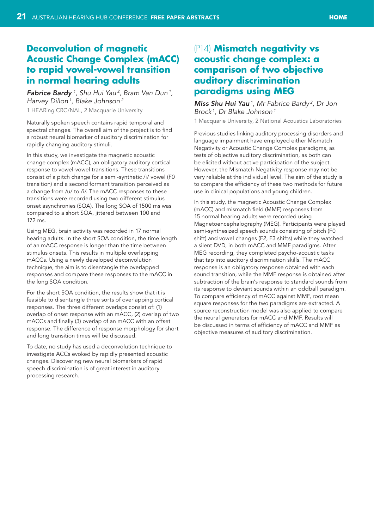#### **HOME**

# <span id="page-20-0"></span>**Deconvolution of magnetic Acoustic Change Complex (mACC) to rapid vowel-vowel transition in normal hearing adults**

*Fabrice Bardy <sup>1</sup> , Shu Hui Yau 2, Bram Van Dun 1, Harvey Dillon 1, Blake Johnson 2* 1 HEARing CRC/NAL, 2 Macquarie University

Naturally spoken speech contains rapid temporal and spectral changes. The overall aim of the project is to find a robust neural biomarker of auditory discrimination for rapidly changing auditory stimuli.

In this study, we investigate the magnetic acoustic change complex (mACC), an obligatory auditory cortical response to vowel-vowel transitions. These transitions consist of a pitch change for a semi-synthetic /i/ vowel (F0 transition) and a second formant transition perceived as a change from /u/ to /i/. The mACC responses to these transitions were recorded using two different stimulus onset asynchronies (SOA). The long SOA of 1500 ms was compared to a short SOA, jittered between 100 and 172 ms.

Using MEG, brain activity was recorded in 17 normal hearing adults. In the short SOA condition, the time length of an mACC response is longer than the time between stimulus onsets. This results in multiple overlapping mACCs. Using a newly developed deconvolution technique, the aim is to disentangle the overlapped responses and compare these responses to the mACC in the long SOA condition.

For the short SOA condition, the results show that it is feasible to disentangle three sorts of overlapping cortical responses. The three different overlaps consist of: (1) overlap of onset response with an mACC, (2) overlap of two mACCs and finally (3) overlap of an mACC with an offset response. The difference of response morphology for short and long transition times will be discussed.

To date, no study has used a deconvolution technique to investigate ACCs evoked by rapidly presented acoustic changes. Discovering new neural biomarkers of rapid speech discrimination is of great interest in auditory processing research.

## (P14) **Mismatch negativity vs acoustic change complex: a comparison of two objective auditory discrimination paradigms using MEG**

*Miss Shu Hui Yau 1, Mr Fabrice Bardy 2, Dr Jon Brock 1, Dr Blake Johnson 1*

1 Macquarie University, 2 National Acoustics Laboratories

Previous studies linking auditory processing disorders and language impairment have employed either Mismatch Negativity or Acoustic Change Complex paradigms, as tests of objective auditory discrimination, as both can be elicited without active participation of the subject. However, the Mismatch Negativity response may not be very reliable at the individual level. The aim of the study is to compare the efficiency of these two methods for future use in clinical populations and young children.

In this study, the magnetic Acoustic Change Complex (mACC) and mismatch field (MMF) responses from 15 normal hearing adults were recorded using Magnetoencephalography (MEG). Participants were played semi-synthesized speech sounds consisting of pitch (F0 shift) and vowel changes (F2, F3 shifts) while they watched a silent DVD, in both mACC and MMF paradigms. After MEG recording, they completed psycho-acoustic tasks that tap into auditory discrimination skills. The mACC response is an obligatory response obtained with each sound transition, while the MMF response is obtained after subtraction of the brain's response to standard sounds from its response to deviant sounds within an oddball paradigm. To compare efficiency of mACC against MMF, root mean square responses for the two paradigms are extracted. A source reconstruction model was also applied to compare the neural generators for mACC and MMF. Results will be discussed in terms of efficiency of mACC and MMF as objective measures of auditory discrimination.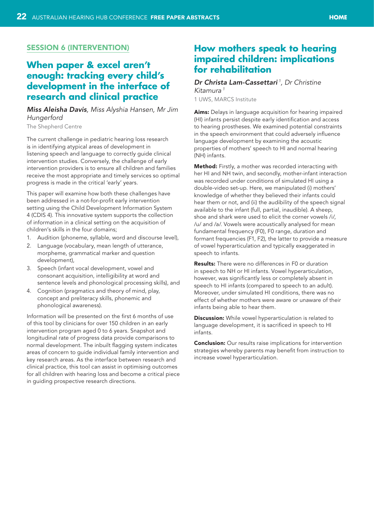## <span id="page-21-0"></span>**SESSION 6 (INTERVENTION)**

# **When paper & excel aren't enough: tracking every child's development in the interface of research and clinical practice**

## *Miss Aleisha Davis, Miss Alyshia Hansen, Mr Jim Hungerford*

The Shepherd Centre

The current challenge in pediatric hearing loss research is in identifying atypical areas of development in listening speech and language to correctly guide clinical intervention studies. Conversely, the challenge of early intervention providers is to ensure all children and families receive the most appropriate and timely services so optimal progress is made in the critical 'early' years.

This paper will examine how both these challenges have been addressed in a not-for-profit early intervention setting using the Child Development Information System 4 (CDIS 4). This innovative system supports the collection of information in a clinical setting on the acquisition of children's skills in the four domains;

- 1. Audition (phoneme, syllable, word and discourse level),
- 2. Language (vocabulary, mean length of utterance, morpheme, grammatical marker and question development),
- 3. Speech (infant vocal development, vowel and consonant acquisition, intelligibility at word and sentence levels and phonological processing skills), and
- 4. Cognition (pragmatics and theory of mind, play, concept and preliteracy skills, phonemic and phonological awareness).

Information will be presented on the first 6 months of use of this tool by clinicians for over 150 children in an early intervention program aged 0 to 6 years. Snapshot and longitudinal rate of progress data provide comparisons to normal development. The inbuilt flagging system indicates areas of concern to guide individual family intervention and key research areas. As the interface between research and clinical practice, this tool can assist in optimising outcomes for all children with hearing loss and become a critical piece in guiding prospective research directions.

## **How mothers speak to hearing impaired children: implications for rehabilitation**

#### *Dr Christa Lam-Cassettari <sup>1</sup> , Dr Christine Kitamura 1*

1 UWS, MARCS Institute

Aims: Delays in language acquisition for hearing impaired (HI) infants persist despite early identification and access to hearing prostheses. We examined potential constraints in the speech environment that could adversely influence language development by examining the acoustic properties of mothers' speech to HI and normal hearing (NH) infants.

Method: Firstly, a mother was recorded interacting with her HI and NH twin, and secondly, mother-infant interaction was recorded under conditions of simulated HI using a double-video set-up. Here, we manipulated (i) mothers' knowledge of whether they believed their infants could hear them or not, and (ii) the audibility of the speech signal available to the infant (full, partial, inaudible). A sheep, shoe and shark were used to elicit the corner vowels /i/, /u/ and /a/. Vowels were acoustically analysed for mean fundamental frequency (F0), F0 range, duration and formant frequencies (F1, F2), the latter to provide a measure of vowel hyperarticulation and typically exaggerated in speech to infants.

Results: There were no differences in F0 or duration in speech to NH or HI infants. Vowel hyperarticulation, however, was significantly less or completely absent in speech to HI infants (compared to speech to an adult). Moreover, under simulated HI conditions, there was no effect of whether mothers were aware or unaware of their infants being able to hear them.

**Discussion:** While vowel hyperarticulation is related to language development, it is sacrificed in speech to HI infants.

**Conclusion:** Our results raise implications for intervention strategies whereby parents may benefit from instruction to increase vowel hyperarticulation.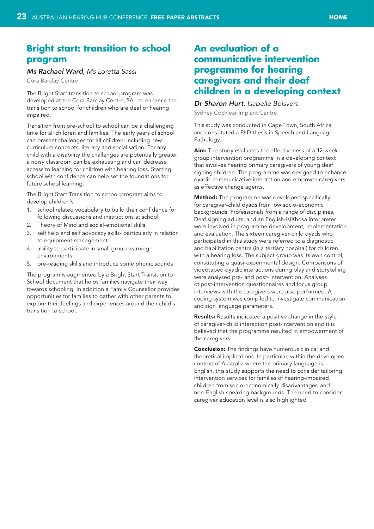# <span id="page-22-0"></span>**Bright start: transition to school program**

#### *Ms Rachael Ward, Ms Loretta Sassi*

Cora Barclay Centre

The Bright Start transition to school program was developed at the Cora Barclay Centre, SA , to enhance the transition to school for children who are deaf or hearing impaired.

Transition from pre-school to school can be a challenging time for all children and families. The early years of school can present challenges for all children; including new curriculum concepts, literacy and socialisation. For any child with a disability the challenges are potentially greater; a noisy classroom can be exhausting and can decrease access to learning for children with hearing loss. Starting school with confidence can help set the foundations for future school learning.

The Bright Start Transition to school program aims to develop children's:

- 1. school related vocabulary to build their confidence for following discussions and instructions at school
- 2. Theory of Mind and social-emotional skills
- 3. self help and self advocacy skills- particularly in relation to equipment management
- 4. ability to participate in small group learning environments
- 5. pre-reading skills and introduce some phonic sounds

The program is augmented by a Bright Start Transition to School document that helps families navigate their way towards schooling. In addition a Family Counsellor provides opportunities for families to gather with other parents to explore their feelings and experiences around their child's transition to school.

## **An evaluation of a communicative intervention programme for hearing caregivers and their deaf children in a developing context**

# *Dr Sharon Hurt, Isabelle Boisvert*

Sydney Cochlear Implant Centre

This study was conducted in Cape Town, South Africa and constituted a PhD thesis in Speech and Language Pathology.

Aim: The study evaluates the effectiveness of a 12-week group intervention programme in a developing context that involves hearing primary caregivers of young deaf signing children. The programme was designed to enhance dyadic communicative interaction and empower caregivers as effective change agents.

Method: The programme was developed specifically for caregiver-child dyads from low socio-economic backgrounds. Professionals from a range of disciplines, Deaf signing adults, and an English-isiXhosa interpreter were involved in programme development, implementation and evaluation. The sixteen caregiver-child dyads who participated in this study were referred to a diagnostic and habilitation centre (in a tertiary hospital) for children with a hearing loss. The subject group was its own control, constituting a quasi-experimental design. Comparisons of videotaped dyadic interactions during play and storytelling were analysed pre- and post- intervention. Analyses of post-intervention questionnaires and focus group interviews with the caregivers were also performed. A coding system was compiled to investigate communication and sign language parameters.

**Results:** Results indicated a positive change in the style of caregiver-child interaction post-intervention and it is believed that the programme resulted in empowerment of the caregivers.

**Conclusion:** The findings have numerous clinical and theoretical implications. In particular, within the developed context of Australia where the primary language is English, this study supports the need to consider tailoring intervention services for families of hearing-impaired children from socio-economically disadvantaged and non-English speaking backgrounds. The need to consider caregiver education level is also highlighted.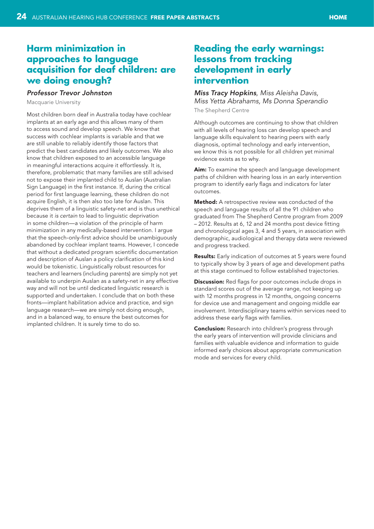# <span id="page-23-0"></span>**Harm minimization in approaches to language acquisition for deaf children: are we doing enough?**

## *Professor Trevor Johnston*

Macquarie University

Most children born deaf in Australia today have cochlear implants at an early age and this allows many of them to access sound and develop speech. We know that success with cochlear implants is variable and that we are still unable to reliably identify those factors that predict the best candidates and likely outcomes. We also know that children exposed to an accessible language in meaningful interactions acquire it effortlessly. It is, therefore, problematic that many families are still advised not to expose their implanted child to Auslan (Australian Sign Language) in the first instance. If, during the critical period for first language learning, these children do not acquire English, it is then also too late for Auslan. This deprives them of a linguistic safety-net and is thus unethical because it *is certain* to lead to linguistic deprivation in some children—a violation of the principle of harm minimization in any medically-based intervention. I argue that the speech-only-first advice should be unambiguously abandoned by cochlear implant teams. However, I concede that without a dedicated program scientific documentation and description of Auslan a policy clarification of this kind would be tokenistic. Linguistically robust resources for teachers and learners (including parents) are simply not yet available to underpin Auslan as a safety-net in any effective way and will not be until dedicated linguistic research is supported and undertaken. I conclude that on both these fronts—implant habilitation advice and practice, and sign language research—we are simply not doing enough, and in a balanced way, to ensure the best outcomes for implanted children. It is surely time to do so.

# **Reading the early warnings: lessons from tracking development in early intervention**

*Miss Tracy Hopkins, Miss Aleisha Davis, Miss Yetta Abrahams, Ms Donna Sperandio* The Shepherd Centre

Although outcomes are continuing to show that children with all levels of hearing loss can develop speech and language skills equivalent to hearing peers with early diagnosis, optimal technology and early intervention, we know this is not possible for all children yet minimal evidence exists as to why.

Aim: To examine the speech and language development paths of children with hearing loss in an early intervention program to identify early flags and indicators for later outcomes.

Method: A retrospective review was conducted of the speech and language results of all the 91 children who graduated from The Shepherd Centre program from 2009 – 2012. Results at 6, 12 and 24 months post device fitting and chronological ages 3, 4 and 5 years, in association with demographic, audiological and therapy data were reviewed and progress tracked.

Results: Early indication of outcomes at 5 years were found to typically show by 3 years of age and development paths at this stage continued to follow established trajectories.

**Discussion:** Red flags for poor outcomes include drops in standard scores out of the average range, not keeping up with 12 months progress in 12 months, ongoing concerns for device use and management and ongoing middle ear involvement. Interdisciplinary teams within services need to address these early flags with families.

**Conclusion:** Research into children's progress through the early years of intervention will provide clinicians and families with valuable evidence and information to guide informed early choices about appropriate communication mode and services for every child.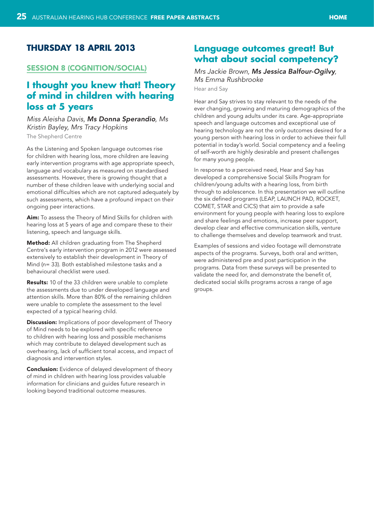## <span id="page-24-0"></span>**Thursday 18 April 2013**

#### Session 8 (Cognition/social)

# **I thought you knew that! Theory of mind in children with hearing loss at 5 years**

## *Miss Aleisha Davis, Ms Donna Sperandio, Ms Kristin Bayley, Mrs Tracy Hopkins*

The Shepherd Centre

As the Listening and Spoken language outcomes rise for children with hearing loss, more children are leaving early intervention programs with age appropriate speech, language and vocabulary as measured on standardised assessments. However, there is growing thought that a number of these children leave with underlying social and emotional difficulties which are not captured adequately by such assessments, which have a profound impact on their ongoing peer interactions.

Aim: To assess the Theory of Mind Skills for children with hearing loss at 5 years of age and compare these to their listening, speech and language skills.

Method: All children graduating from The Shepherd Centre's early intervention program in 2012 were assessed extensively to establish their development in Theory of Mind (n= 33). Both established milestone tasks and a behavioural checklist were used.

Results: 10 of the 33 children were unable to complete the assessments due to under developed language and attention skills. More than 80% of the remaining children were unable to complete the assessment to the level expected of a typical hearing child.

**Discussion:** Implications of poor development of Theory of Mind needs to be explored with specific reference to children with hearing loss and possible mechanisms which may contribute to delayed development such as overhearing, lack of sufficient tonal access, and impact of diagnosis and intervention styles.

**Conclusion:** Evidence of delayed development of theory of mind in children with hearing loss provides valuable information for clinicians and guides future research in looking beyond traditional outcome measures.

## **Language outcomes great! But what about social competency?**

## *Mrs Jackie Brown, Ms Jessica Balfour-Ogilvy, Ms Emma Rushbrooke*

Hear and Say

Hear and Say strives to stay relevant to the needs of the ever changing, growing and maturing demographics of the children and young adults under its care. Age-appropriate speech and language outcomes and exceptional use of hearing technology are not the only outcomes desired for a young person with hearing loss in order to achieve their full potential in today's world. Social competency and a feeling of self-worth are highly desirable and present challenges for many young people.

In response to a perceived need, Hear and Say has developed a comprehensive Social Skills Program for children/young adults with a hearing loss, from birth through to adolescence. In this presentation we will outline the six defined programs (LEAP, LAUNCH PAD, ROCKET, COMET, STAR and CICS) that aim to provide a safe environment for young people with hearing loss to explore and share feelings and emotions, increase peer support, develop clear and effective communication skills, venture to challenge themselves and develop teamwork and trust.

Examples of sessions and video footage will demonstrate aspects of the programs. Surveys, both oral and written, were administered pre and post participation in the programs. Data from these surveys will be presented to validate the need for, and demonstrate the benefit of, dedicated social skills programs across a range of age groups.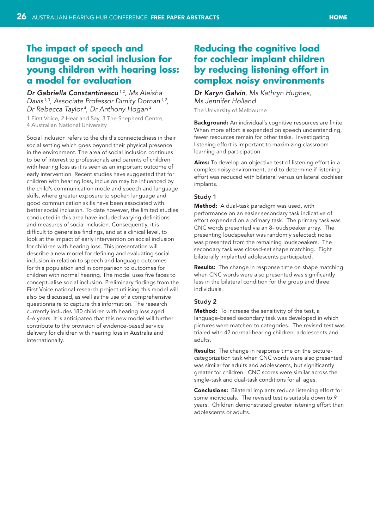# <span id="page-25-0"></span>**The impact of speech and language on social inclusion for young children with hearing loss: a model for evaluation**

*Dr Gabriella Constantinescu 1,2, Ms Aleisha Davis 1,3, Associate Professor Dimity Dornan 1,2, Dr Rebecca Taylor 4, Dr Anthony Hogan 4*

1 First Voice, 2 Hear and Say, 3 The Shepherd Centre, 4 Australian National University

Social inclusion refers to the child's connectedness in their social setting which goes beyond their physical presence in the environment. The area of social inclusion continues to be of interest to professionals and parents of children with hearing loss as it is seen as an important outcome of early intervention. Recent studies have suggested that for children with hearing loss, inclusion may be influenced by the child's communication mode and speech and language skills, where greater exposure to spoken language and good communication skills have been associated with better social inclusion. To date however, the limited studies conducted in this area have included varying definitions and measures of social inclusion. Consequently, it is difficult to generalise findings, and at a clinical level, to look at the impact of early intervention on social inclusion for children with hearing loss. This presentation will describe a new model for defining and evaluating social inclusion in relation to speech and language outcomes for this population and in comparison to outcomes for children with normal hearing. The model uses five faces to conceptualise social inclusion. Preliminary findings from the First Voice national research project utilising this model will also be discussed, as well as the use of a comprehensive questionnaire to capture this information. The research currently includes 180 children with hearing loss aged 4-6 years. It is anticipated that this new model will further contribute to the provision of evidence-based service delivery for children with hearing loss in Australia and internationally.

# **Reducing the cognitive load for cochlear implant children by reducing listening effort in complex noisy environments**

## *Dr Karyn Galvin, Ms Kathryn Hughes, Ms Jennifer Holland* The University of Melbourne

Background: An individual's cognitive resources are finite. When more effort is expended on speech understanding, fewer resources remain for other tasks. Investigating listening effort is important to maximizing classroom learning and participation.

Aims: To develop an objective test of listening effort in a complex noisy environment, and to determine if listening effort was reduced with bilateral versus unilateral cochlear implants.

## Study 1

Method: A dual-task paradigm was used, with performance on an easier secondary task indicative of effort expended on a primary task. The primary task was CNC words presented via an 8-loudspeaker array. The presenting loudspeaker was randomly selected; noise was presented from the remaining loudspeakers. The secondary task was closed-set shape matching. Eight bilaterally implanted adolescents participated.

Results: The change in response time on shape matching when CNC words were also presented was significantly less in the bilateral condition for the group and three individuals.

#### Study 2

Method: To increase the sensitivity of the test, a language-based secondary task was developed in which pictures were matched to categories. The revised test was trialed with 42 normal-hearing children, adolescents and adults.

Results: The change in response time on the picturecategorization task when CNC words were also presented was similar for adults and adolescents, but significantly greater for children. CNC scores were similar across the single-task and dual-task conditions for all ages.

Conclusions: Bilateral implants reduce listening effort for some individuals. The revised test is suitable down to 9 years. Children demonstrated greater listening effort than adolescents or adults.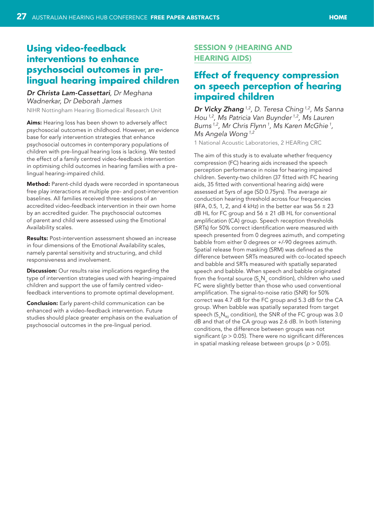# <span id="page-26-0"></span>**Using video-feedback interventions to enhance psychosocial outcomes in prelingual hearing impaired children**

*Dr Christa Lam-Cassettari, Dr Meghana Wadnerkar, Dr Deborah James* NIHR Nottingham Hearing Biomedical Research Unit

Aims: Hearing loss has been shown to adversely affect psychosocial outcomes in childhood. However, an evidence base for early intervention strategies that enhance psychosocial outcomes in contemporary populations of children with pre-lingual hearing loss is lacking. We tested the effect of a family centred video-feedback intervention in optimising child outcomes in hearing families with a prelingual hearing-impaired child.

Method: Parent-child dyads were recorded in spontaneous free play interactions at multiple pre- and post-intervention baselines. All families received three sessions of an accredited video-feedback intervention in their own home by an accredited guider. The psychosocial outcomes of parent and child were assessed using the Emotional Availability scales.

Results: Post-intervention assessment showed an increase in four dimensions of the Emotional Availability scales, namely parental sensitivity and structuring, and child responsiveness and involvement.

**Discussion:** Our results raise implications regarding the type of intervention strategies used with hearing-impaired children and support the use of family centred videofeedback interventions to promote optimal development.

**Conclusion:** Early parent-child communication can be enhanced with a video-feedback intervention. Future studies should place greater emphasis on the evaluation of psychosocial outcomes in the pre-lingual period.

## Session 9 (Hearing and **HEARING AIDS)**

# **Effect of frequency compression on speech perception of hearing impaired children**

*Dr Vicky Zhang 1,2, D. Teresa Ching 1,2, Ms Sanna Hou 1,2, Ms Patricia Van Buynder 1,2, Ms Lauren Burns 1,2, Mr Chris Flynn 1, Ms Karen McGhie 1, Ms Angela Wong 1,2*

1 National Acoustic Laboratories, 2 HEARing CRC

The aim of this study is to evaluate whether frequency compression (FC) hearing aids increased the speech perception performance in noise for hearing impaired children. Seventy-two children (37 fitted with FC hearing aids, 35 fitted with conventional hearing aids) were assessed at 5yrs of age (SD 0.75yrs). The average air conduction hearing threshold across four frequencies (4FA, 0.5, 1, 2, and 4 kHz) in the better ear was  $56 \pm 23$ dB HL for FC group and  $56 \pm 21$  dB HL for conventional amplification (CA) group. Speech reception thresholds (SRTs) for 50% correct identification were measured with speech presented from 0 degrees azimuth, and competing babble from either 0 degrees or +/-90 degrees azimuth. Spatial release from masking (SRM) was defined as the difference between SRTs measured with co-located speech and babble and SRTs measured with spatially separated speech and babble. When speech and babble originated from the frontal source  $(S_{\alpha}N_{\alpha}$  condition), children who used FC were slightly better than those who used conventional amplification. The signal-to-noise ratio (SNR) for 50% correct was 4.7 dB for the FC group and 5.3 dB for the CA group. When babble was spatially separated from target speech ( $S_{0}N_{90}$  condition), the SNR of the FC group was 3.0 dB and that of the CA group was 2.6 dB. In both listening conditions, the difference between groups was not significant (*p* > 0.05). There were no significant differences in spatial masking release between groups (*p* > 0.05).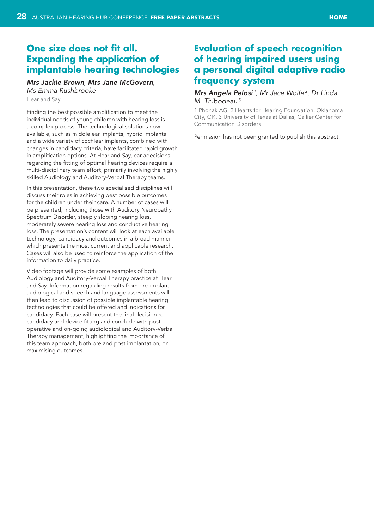# <span id="page-27-0"></span>**One size does not fit all. Expanding the application of implantable hearing technologies**

## *Mrs Jackie Brown, Mrs Jane McGovern, Ms Emma Rushbrooke*

Hear and Say

Finding the best possible amplification to meet the individual needs of young children with hearing loss is a complex process. The technological solutions now available, such as middle ear implants, hybrid implants and a wide variety of cochlear implants, combined with changes in candidacy criteria, have facilitated rapid growth in amplification options. At Hear and Say, ear adecisions regarding the fitting of optimal hearing devices require a multi-disciplinary team effort, primarily involving the highly skilled Audiology and Auditory-Verbal Therapy teams.

In this presentation, these two specialised disciplines will discuss their roles in achieving best possible outcomes for the children under their care. A number of cases will be presented, including those with Auditory Neuropathy Spectrum Disorder, steeply sloping hearing loss, moderately severe hearing loss and conductive hearing loss. The presentation's content will look at each available technology, candidacy and outcomes in a broad manner which presents the most current and applicable research. Cases will also be used to reinforce the application of the information to daily practice.

Video footage will provide some examples of both Audiology and Auditory-Verbal Therapy practice at Hear and Say. Information regarding results from pre-implant audiological and speech and language assessments will then lead to discussion of possible implantable hearing technologies that could be offered and indications for candidacy. Each case will present the final decision re candidacy and device fitting and conclude with postoperative and on-going audiological and Auditory-Verbal Therapy management, highlighting the importance of this team approach, both pre and post implantation, on maximising outcomes.

# **Evaluation of speech recognition of hearing impaired users using a personal digital adaptive radio frequency system**

#### *Mrs Angela Pelosi 1, Mr Jace Wolfe 2, Dr Linda M. Thibodeau 3*

1 Phonak AG, 2 Hearts for Hearing Foundation, Oklahoma City, OK, 3 University of Texas at Dallas, Callier Center for Communication Disorders

Permission has not been granted to publish this abstract.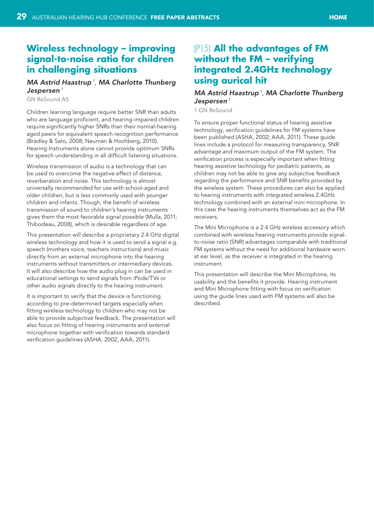## <span id="page-28-0"></span>**Wireless technology – improving signal-to-noise ratio for children in challenging situations**

#### *MA Astrid Haastrup 1, MA Charlotte Thunberg Jespersen<sup>1</sup>*

GN ReSound AS

Children learning language require better SNR than adults who are language proficient, and hearing-impaired children require significantly higher SNRs than their normal-hearing aged peers for equivalent speech recognition performance (Bradley & Sato, 2008; Neuman & Hochberg, 2010). Hearing Instruments alone cannot provide optimum SNRs for speech understanding in all difficult listening situations.

Wireless transmission of audio is a technology that can be used to overcome the negative effect of distance, reverberation and noise. This technology is almost universally recommended for use with school-aged and older children, but is less commonly used with younger children and infants. Though, the benefit of wireless transmission of sound to children's hearing instruments gives them the most favorable signal possible (Mulla, 2011; Thibodeau, 2008), which is desirable regardless of age.

This presentation will describe a proprietary 2.4 GHz digital wireless technology and how it is used to send a signal e.g. speech (mothers voice, teachers instructions) and music directly from an external microphone into the hearing instruments without transmitters or intermediary devices. It will also describe how the audio plug in can be used in educational settings to send signals from iPods/TVs or other audio signals directly to the hearing instrument.

It is important to verify that the device is functioning according to pre-determined targets especially when fitting wireless technology to children who may not be able to provide subjective feedback. The presentation will also focus on fitting of hearing instruments and external microphone together with verification towards standard verification guidelines (ASHA, 2002; AAA, 2011).

# (P15) **All the advantages of FM without the FM – verifying integrated 2.4GHz technology using aurical hit**

## *MA Astrid Haastrup 1, MA Charlotte Thunberg Jespersen<sup>1</sup>*

1 GN ReSound

To ensure proper functional status of hearing assistive technology, verification guidelines for FM systems have been published (ASHA, 2002; AAA, 2011). These guide lines include a protocol for measuring transparency, SNR advantage and maximum output of the FM system. The verification process is especially important when fitting hearing assistive technology for pediatric patients, as children may not be able to give any subjective feedback regarding the performance and SNR benefits provided by the wireless system. These procedures can also be applied to hearing instruments with integrated wireless 2.4GHz technology combined with an external mini microphone. In this case the hearing instruments themselves act as the FM receivers.

The Mini Microphone is a 2.4 GHz wireless accessory which combined with wireless hearing instruments provide signalto-noise ratio (SNR) advantages comparable with traditional FM systems without the need for additional hardware worn at ear level, as the receiver is integrated in the hearing instrument.

This presentation will describe the Mini Microphone, its usability and the benefits it provide. Hearing instrument and Mini Microphone fitting with focus on verification using the guide lines used with FM systems will also be described.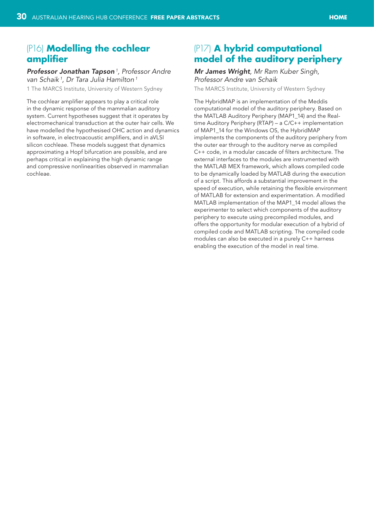## <span id="page-29-0"></span>(P16) **Modelling the cochlear amplifier**

*Professor Jonathan Tapson 1, Professor Andre van Schaik 1, Dr Tara Julia Hamilton 1*

1 The MARCS Institute, University of Western Sydney

The cochlear amplifier appears to play a critical role in the dynamic response of the mammalian auditory system. Current hypotheses suggest that it operates by electromechanical transduction at the outer hair cells. We have modelled the hypothesised OHC action and dynamics in software, in electroacoustic amplifiers, and in aVLSI silicon cochleae. These models suggest that dynamics approximating a Hopf bifurcation are possible, and are perhaps critical in explaining the high dynamic range and compressive nonlinearities observed in mammalian cochleae.

## (P17) **A hybrid computational model of the auditory periphery**

#### *Mr James Wright, Mr Ram Kuber Singh, Professor Andre van Schaik*

The MARCS Institute, University of Western Sydney

The HybridMAP is an implementation of the Meddis computational model of the auditory periphery. Based on the MATLAB Auditory Periphery (MAP1\_14) and the Realtime Auditory Periphery (RTAP) – a C/C++ implementation of MAP1 14 for the Windows OS, the HybridMAP implements the components of the auditory periphery from the outer ear through to the auditory nerve as compiled C++ code, in a modular cascade of filters architecture. The external interfaces to the modules are instrumented with the MATLAB MEX framework, which allows compiled code to be dynamically loaded by MATLAB during the execution of a script. This affords a substantial improvement in the speed of execution, while retaining the flexible environment of MATLAB for extension and experimentation. A modified MATLAB implementation of the MAP1\_14 model allows the experimenter to select which components of the auditory periphery to execute using precompiled modules, and offers the opportunity for modular execution of a hybrid of compiled code and MATLAB scripting. The compiled code modules can also be executed in a purely C++ harness enabling the execution of the model in real time.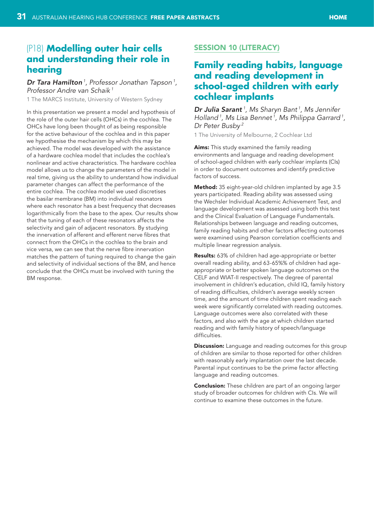# <span id="page-30-0"></span>(P18) **Modelling outer hair cells and understanding their role in hearing**

*Dr Tara Hamilton 1, Professor Jonathan Tapson 1, Professor Andre van Schaik 1*

1 The MARCS Institute, University of Western Sydney

In this presentation we present a model and hypothesis of the role of the outer hair cells (OHCs) in the cochlea. The OHCs have long been thought of as being responsible for the active behaviour of the cochlea and in this paper we hypothesise the mechanism by which this may be achieved. The model was developed with the assistance of a hardware cochlea model that includes the cochlea's nonlinear and active characteristics. The hardware cochlea model allows us to change the parameters of the model in real time, giving us the ability to understand how individual parameter changes can affect the performance of the entire cochlea. The cochlea model we used discretises the basilar membrane (BM) into individual resonators where each resonator has a best frequency that decreases logarithmically from the base to the apex. Our results show that the tuning of each of these resonators affects the selectivity and gain of adjacent resonators. By studying the innervation of afferent and efferent nerve fibres that connect from the OHCs in the cochlea to the brain and vice versa, we can see that the nerve fibre innervation matches the pattern of tuning required to change the gain and selectivity of individual sections of the BM, and hence conclude that the OHCs must be involved with tuning the BM response.

## SESSION 10 (LITERACY)

# **Family reading habits, language and reading development in school-aged children with early cochlear implants**

*Dr Julia Sarant <sup>1</sup> , Ms Sharyn Bant 1, Ms Jennifer Holland 1, Ms Lisa Bennet 1, Ms Philippa Garrard 1, Dr Peter Busby 2*

1 The University of Melbourne, 2 Cochlear Ltd

Aims: This study examined the family reading environments and language and reading development of school-aged children with early cochlear implants (CIs) in order to document outcomes and identify predictive factors of success.

Method: 35 eight-year-old children implanted by age 3.5 years participated. Reading ability was assessed using the Wechsler Individual Academic Achievement Test, and language development was assessed using both this test and the Clinical Evaluation of Language Fundamentals. Relationships between language and reading outcomes, family reading habits and other factors affecting outcomes were examined using Pearson correlation coefficients and multiple linear regression analysis.

Results: 63% of children had age-appropriate or better overall reading ability, and 63-65%% of children had ageappropriate or better spoken language outcomes on the CELF and WIAT-II respectively. The degree of parental involvement in children's education, child IQ, family history of reading difficulties, children's average weekly screen time, and the amount of time children spent reading each week were significantly correlated with reading outcomes. Language outcomes were also correlated with these factors, and also with the age at which children started reading and with family history of speech/language difficulties.

**Discussion:** Language and reading outcomes for this group of children are similar to those reported for other children with reasonably early implantation over the last decade. Parental input continues to be the prime factor affecting language and reading outcomes.

**Conclusion:** These children are part of an ongoing larger study of broader outcomes for children with CIs. We will continue to examine these outcomes in the future.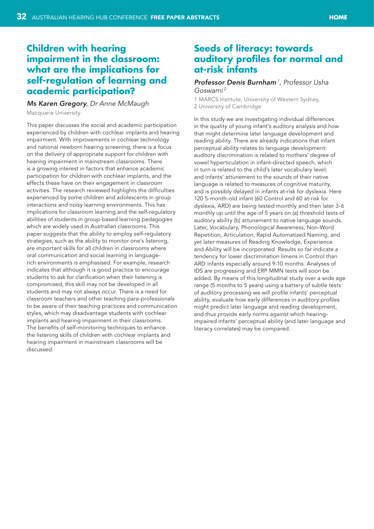## <span id="page-31-0"></span>**Children with hearing impairment in the classroom: what are the implications for self-regulation of learning and academic participation?**

#### *Ms Karen Gregory, Dr Anne McMaugh*

Macquarie University

This paper discusses the social and academic participation experienced by children with cochlear implants and hearing impairment. With improvements in cochlear technology and national newborn hearing screening, there is a focus on the delivery of appropriate support for children with hearing impairment in mainstream classrooms. There is a growing interest in factors that enhance academic participation for children with cochlear implants, and the effects these have on their engagement in classroom activities. The research reviewed highlights the difficulties experienced by some children and adolescents in group interactions and noisy learning environments. This has implications for classroom learning and the self-regulatory abilities of students in group-based learning pedagogies which are widely used in Australian classrooms. This paper suggests that the ability to employ self-regulatory strategies, such as the ability to monitor one's listening, are important skills for all children in classrooms where oral communication and social learning in languagerich environments is emphasised. For example, research indicates that although it is good practice to encourage students to ask for clarification when their listening is compromised, this skill may not be developed in all students and may not always occur. There is a need for classroom teachers and other teaching para-professionals to be aware of their teaching practices and communication styles, which may disadvantage students with cochlear implants and hearing impairment in their classrooms. The benefits of self-monitoring techniques to enhance the listening skills of children with cochlear implants and hearing impairment in mainstream classrooms will be discussed.

## **Seeds of literacy: towards auditory profiles for normal and at-risk infants**

#### *Professor Denis Burnham 1, Professor Usha Goswami 2*

1 MARCS Institute, University of Western Sydney, 2 University of Cambridge

In this study we are investigating individual differences in the quality of young infant's auditory analysis and how that might determine later language development and reading ability. There are already indications that infant perceptual ability relates to language development: auditory discrimination is related to mothers' degree of vowel hyperticulation in infant-directed speech, which in turn is related to the child's later vocabulary level; and infants' attunement to the sounds of their native language is related to measures of cognitive maturity, and is possibly delayed in infants at-risk for dyslexia. Here 120 5-month-old infant (60 Control and 60 at-risk for dyslexia, ARD) are being tested monthly and then later 3-6 monthly up until the age of 5 years on (a) threshold tests of auditory ability (b) attunement to native language sounds. Later, Vocabulary, Phonological Awareness, Non-Word Repetition, Articulation, Rapid Automatized Naming, and yet later measures of Reading Knowledge, Experience and Ability will be incorporated. Results so far indicate a tendency for lower discrimination limens in Control than ARD infants especially around 9-10 months. Analyses of IDS are progressing and ERP MMN tests will soon be added. By means of this longitudinal study over a wide age range (5 months to 5 years) using a battery of subtle tests of auditory processing we will profile infants' perceptual ability, evaluate how early differences in auditory profiles might predict later language and reading development, and thus provide early norms against which hearingimpaired infants' perceptual ability (and later language and literacy correlates) may be compared.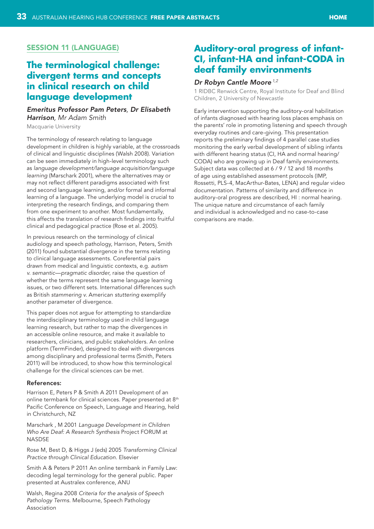## <span id="page-32-0"></span>Session 11 (Language)

# **The terminological challenge: divergent terms and concepts in clinical research on child language development**

## *Emeritus Professor Pam Peters, Dr Elisabeth Harrison, Mr Adam Smith*

Macquarie University

The terminology of research relating to language development in children is highly variable, at the crossroads of clinical and linguistic disciplines (Walsh 2008). Variation can be seen immediately in high-level terminology such as *language development/language acquisition/language learning* (Marschark 2001), where the alternatives may or may not reflect different paradigms associated with first and second language learning, and/or formal and informal learning of a language. The underlying model is crucial to interpreting the research findings, and comparing them from one experiment to another. Most fundamentally, this affects the translation of research findings into fruitful clinical and pedagogical practice (Rose et al. 2005).

In previous research on the terminology of clinical audiology and speech pathology, Harrison, Peters, Smith (2011) found substantial divergence in the terms relating to clinical language assessments. Coreferential pairs drawn from medical and linguistic contexts, e.g. *autism v. semantic—pragmatic disorder*, raise the question of whether the terms represent the same language learning issues, or two different sets. International differences such as British *stammering v.* American *stuttering* exemplify another parameter of divergence.

This paper does not argue for attempting to standardize the interdisciplinary terminology used in child language learning research, but rather to map the divergences in an accessible online resource, and make it available to researchers, clinicians, and public stakeholders. An online platform (TermFinder), designed to deal with divergences among disciplinary and professional terms (Smith, Peters 2011) will be introduced, to show how this terminological challenge for the clinical sciences can be met.

#### References:

Harrison E, Peters P & Smith A 2011 Development of an online termbank for clinical sciences. Paper presented at 8<sup>th</sup> Pacific Conference on Speech, Language and Hearing, held in Christchurch, NZ

Marschark , M 2001 *Language Development in Children Who Are Deaf: A Research Synthesis* Project FORUM at **NASDSE** 

Rose M, Best D, & Higgs J (eds) 2005 *Transforming Clinical Practice through Clinical Education*. Elsevier

Smith A & Peters P 2011 An online termbank in Family Law: decoding legal terminology for the general public. Paper presented at Australex conference, ANU

Walsh, Regina 2008 *Criteria for the analysis of Speech Pathology Terms*. Melbourne, Speech Pathology Association

## **Auditory-oral progress of infant-CI, infant-HA and infant-CODA in deaf family environments**

## *Dr Robyn Cantle Moore 1,2*

1 RIDBC Renwick Centre, Royal Institute for Deaf and Blind Children, 2 University of Newcastle

Early intervention supporting the auditory-oral habilitation of infants diagnosed with hearing loss places emphasis on the parents' role in promoting listening and speech through everyday routines and care-giving. This presentation reports the preliminary findings of 4 parallel case studies monitoring the early verbal development of sibling infants with different hearing status (CI, HA and normal hearing/ CODA) who are growing up in Deaf family environments. Subject data was collected at 6 / 9 / 12 and 18 months of age using established assessment protocols (IMP, Rossetti, PLS-4, MacArthur-Bates, LENA) and regular video documentation. Patterns of similarity and difference in auditory-oral progress are described, HI : normal hearing. The unique nature and circumstance of each family and individual is acknowledged and no case-to-case comparisons are made.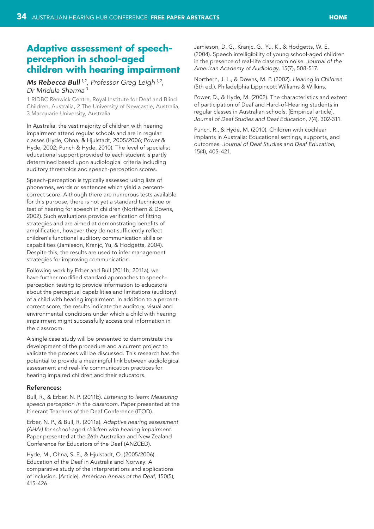## <span id="page-33-0"></span>**Adaptive assessment of speechperception in school-aged children with hearing impairment**

## *Ms Rebecca Bull 1,2, Professor Greg Leigh 1,2, Dr Mridula Sharma 3*

1 RIDBC Renwick Centre, Royal Institute for Deaf and Blind Children, Australia, 2 The University of Newcastle, Australia, 3 Macquarie University, Australia

In Australia, the vast majority of children with hearing impairment attend regular schools and are in regular classes (Hyde, Ohna, & Hjulstadt, 2005/2006; Power & Hyde, 2002; Punch & Hyde, 2010). The level of specialist educational support provided to each student is partly determined based upon audiological criteria including auditory thresholds and speech-perception scores.

Speech-perception is typically assessed using lists of phonemes, words or sentences which yield a percentcorrect score. Although there are numerous tests available for this purpose, there is not yet a standard technique or test of hearing for speech in children (Northern & Downs, 2002). Such evaluations provide verification of fitting strategies and are aimed at demonstrating benefits of amplification, however they do not sufficiently reflect children's functional auditory communication skills or capabilities (Jamieson, Kranjc, Yu, & Hodgetts, 2004). Despite this, the results are used to infer management strategies for improving communication.

Following work by Erber and Bull (2011b; 2011a), we have further modified standard approaches to speechperception testing to provide information to educators about the perceptual capabilities and limitations (auditory) of a child with hearing impairment. In addition to a percentcorrect score, the results indicate the auditory, visual and environmental conditions under which a child with hearing impairment might successfully access oral information in the classroom.

A single case study will be presented to demonstrate the development of the procedure and a current project to validate the process will be discussed. This research has the potential to provide a meaningful link between audiological assessment and real-life communication practices for hearing impaired children and their educators.

#### References:

Bull, R., & Erber, N. P. (2011b). *Listening to learn: Measuring speech perception in the classroom*. Paper presented at the Itinerant Teachers of the Deaf Conference (ITOD).

Erber, N. P., & Bull, R. (2011a). *Adaptive hearing assessment (AHA!) for school-aged children with hearing impairment*. Paper presented at the 26th Australian and New Zealand Conference for Educators of the Deaf (ANZCED).

Hyde, M., Ohna, S. E., & Hjulstadt, O. (2005/2006). Education of the Deaf in Australia and Norway: A comparative study of the interpretations and applications of inclusion. [Article]. *American Annals of the Deaf*, 150(5), 415-426.

Jamieson, D. G., Kranjc, G., Yu, K., & Hodgetts, W. E. (2004). Speech intelligibility of young school-aged children in the presence of real-life classroom noise. *Journal of the American Academy of Audiology*, 15(7), 508-517.

Northern, J. L., & Downs, M. P. (2002). *Hearing in Children* (5th ed.). Philadelphia Lippincott Williams & Wilkins.

Power, D., & Hyde, M. (2002). The characteristics and extent of participation of Deaf and Hard-of-Hearing students in regular classes in Australian schools. [Empirical article]. *Journal of Deaf Studies and Deaf Education*, 7(4), 302-311.

Punch, R., & Hyde, M. (2010). Children with cochlear implants in Australia: Educational settings, supports, and outcomes. *Journal of Deaf Studies and Deaf Education*, 15(4), 405-421.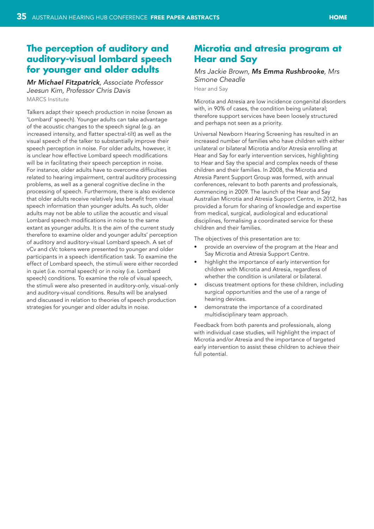## <span id="page-34-0"></span>**The perception of auditory and auditory-visual lombard speech for younger and older adults**

*Mr Michael Fitzpatrick, Associate Professor Jeesun Kim, Professor Chris Davis* MARCS Institute

Talkers adapt their speech production in noise (known as 'Lombard' speech). Younger adults can take advantage of the acoustic changes to the speech signal (e.g. an increased intensity, and flatter spectral-tilt) as well as the visual speech of the talker to substantially improve their speech perception in noise. For older adults, however, it is unclear how effective Lombard speech modifications will be in facilitating their speech perception in noise. For instance, older adults have to overcome difficulties related to hearing impairment, central auditory processing problems, as well as a general cognitive decline in the processing of speech. Furthermore, there is also evidence that older adults receive relatively less benefit from visual speech information than younger adults. As such, older adults may not be able to utilize the acoustic and visual Lombard speech modifications in noise to the same extant as younger adults. It is the aim of the current study therefore to examine older and younger adults' perception of auditory and auditory-visual Lombard speech. A set of vCv and cVc tokens were presented to younger and older participants in a speech identification task. To examine the effect of Lombard speech, the stimuli were either recorded in quiet (i.e. normal speech) or in noisy (i.e. Lombard speech) conditions. To examine the role of visual speech, the stimuli were also presented in auditory-only, visual-only and auditory-visual conditions. Results will be analysed and discussed in relation to theories of speech production strategies for younger and older adults in noise.

# **Microtia and atresia program at Hear and Say**

## *Mrs Jackie Brown, Ms Emma Rushbrooke, Mrs Simone Cheadle*

Hear and Say

Microtia and Atresia are low incidence congenital disorders with, in 90% of cases, the condition being unilateral; therefore support services have been loosely structured and perhaps not seen as a priority.

Universal Newborn Hearing Screening has resulted in an increased number of families who have children with either unilateral or bilateral Microtia and/or Atresia enrolling at Hear and Say for early intervention services, highlighting to Hear and Say the special and complex needs of these children and their families. In 2008, the Microtia and Atresia Parent Support Group was formed, with annual conferences, relevant to both parents and professionals, commencing in 2009. The launch of the Hear and Say Australian Microtia and Atresia Support Centre, in 2012, has provided a forum for sharing of knowledge and expertise from medical, surgical, audiological and educational disciplines, formalising a coordinated service for these children and their families.

The objectives of this presentation are to:

- provide an overview of the program at the Hear and Say Microtia and Atresia Support Centre.
- highlight the importance of early intervention for children with Microtia and Atresia, regardless of whether the condition is unilateral or bilateral.
- discuss treatment options for these children, including surgical opportunities and the use of a range of hearing devices.
- demonstrate the importance of a coordinated multidisciplinary team approach.

Feedback from both parents and professionals, along with individual case studies, will highlight the impact of Microtia and/or Atresia and the importance of targeted early intervention to assist these children to achieve their full potential.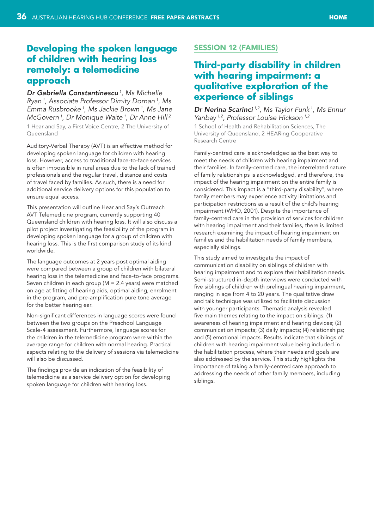# <span id="page-35-0"></span>**Developing the spoken language of children with hearing loss remotely: a telemedicine approach**

*Dr Gabriella Constantinescu 1, Ms Michelle Ryan 1, Associate Professor Dimity Dornan 1, Ms Emma Rusbrooke 1, Ms Jackie Brown 1, Ms Jane McGovern 1, Dr Monique Waite 1, Dr Anne Hill 2*

1 Hear and Say, a First Voice Centre, 2 The University of Queensland

Auditory-Verbal Therapy (AVT) is an effective method for developing spoken language for children with hearing loss. However, access to traditional face-to-face services is often impossible in rural areas due to the lack of trained professionals and the regular travel, distance and costs of travel faced by families. As such, there is a need for additional service delivery options for this population to ensure equal access.

This presentation will outline Hear and Say's Outreach AVT Telemedicine program, currently supporting 40 Queensland children with hearing loss. It will also discuss a pilot project investigating the feasibility of the program in developing spoken language for a group of children with hearing loss. This is the first comparison study of its kind worldwide.

The language outcomes at 2 years post optimal aiding were compared between a group of children with bilateral hearing loss in the telemedicine and face-to-face programs. Seven children in each group (M = 2.4 years) were matched on age at fitting of hearing aids, optimal aiding, enrolment in the program, and pre-amplification pure tone average for the better hearing ear.

Non-significant differences in language scores were found between the two groups on the Preschool Language Scale-4 assessment. Furthermore, language scores for the children in the telemedicine program were within the average range for children with normal hearing. Practical aspects relating to the delivery of sessions via telemedicine will also be discussed.

The findings provide an indication of the feasibility of telemedicine as a service delivery option for developing spoken language for children with hearing loss.

## Session 12 (Families)

# **Third-party disability in children with hearing impairment: a qualitative exploration of the experience of siblings**

*Dr Nerina Scarinci 1,2, Ms Taylor Funk 1, Ms Ennur Yanbay 1,2, Professor Louise Hickson 1,2*

1 School of Health and Rehabilitation Sciences, The University of Queensland, 2 HEARing Cooperative Research Centre

Family-centred care is acknowledged as the best way to meet the needs of children with hearing impairment and their families. In family-centred care, the interrelated nature of family relationships is acknowledged, and therefore, the impact of the hearing impairment on the entire family is considered. This impact is a "third-party disability", where family members may experience activity limitations and participation restrictions as a result of the child's hearing impairment (WHO, 2001). Despite the importance of family-centred care in the provision of services for children with hearing impairment and their families, there is limited research examining the impact of hearing impairment on families and the habilitation needs of family members, especially siblings.

This study aimed to investigate the impact of communication disability on siblings of children with hearing impairment and to explore their habilitation needs. Semi-structured in-depth interviews were conducted with five siblings of children with prelingual hearing impairment, ranging in age from 4 to 20 years. The qualitative draw and talk technique was utilized to facilitate discussion with younger participants. Thematic analysis revealed five main themes relating to the impact on siblings: (1) awareness of hearing impairment and hearing devices; (2) communication impacts; (3) daily impacts; (4) relationships; and (5) emotional impacts. Results indicate that siblings of children with hearing impairment value being included in the habilitation process, where their needs and goals are also addressed by the service. This study highlights the importance of taking a family-centred care approach to addressing the needs of other family members, including siblings.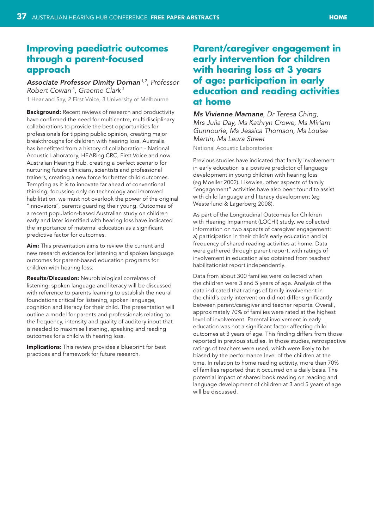## <span id="page-36-0"></span>**Improving paediatric outcomes through a parent-focused approach**

*Associate Professor Dimity Dornan 1,2, Professor Robert Cowan 3, Graeme Clark 3*

1 Hear and Say, 2 First Voice, 3 University of Melbourne

**Background:** Recent reviews of research and productivity have confirmed the need for multicentre, multidisciplinary collaborations to provide the best opportunities for professionals for tipping public opinion, creating major breakthroughs for children with hearing loss. Australia has benefitted from a history of collaboration - National Acoustic Laboratory, HEARing CRC, First Voice and now Australian Hearing Hub, creating a perfect scenario for nurturing future clinicians, scientists and professional trainers, creating a new force for better child outcomes. Tempting as it is to innovate far ahead of conventional thinking, focussing only on technology and improved habilitation, we must not overlook the power of the original "innovators", parents guarding their young. Outcomes of a recent population-based Australian study on children early and later identified with hearing loss have indicated the importance of maternal education as a significant predictive factor for outcomes.

Aim: This presentation aims to review the current and new research evidence for listening and spoken language outcomes for parent-based education programs for children with hearing loss.

Results/Discussion: Neurobiological correlates of listening, spoken language and literacy will be discussed with reference to parents learning to establish the neural foundations critical for listening, spoken language, cognition and literacy for their child. The presentation will outline a model for parents and professionals relating to the frequency, intensity and quality of auditory input that is needed to maximise listening, speaking and reading outcomes for a child with hearing loss.

**Implications:** This review provides a blueprint for best practices and framework for future research.

# **Parent/caregiver engagement in early intervention for children with hearing loss at 3 years of age: participation in early education and reading activities at home**

*Ms Vivienne Marnane, Dr Teresa Ching, Mrs Julia Day, Ms Kathryn Crowe, Ms Miriam Gunnourie, Ms Jessica Thomson, Ms Louise Martin, Ms Laura Street*

National Acoustic Laboratories

Previous studies have indicated that family involvement in early education is a positive predictor of language development in young children with hearing loss (eg Moeller 2002). Likewise, other aspects of family "engagement" activities have also been found to assist with child language and literacy development (eg Westerlund & Lagerberg 2008).

As part of the Longitudinal Outcomes for Children with Hearing Impairment (LOCHI) study, we collected information on two aspects of caregiver engagement: a) participation in their child's early education and b) frequency of shared reading activities at home. Data were gathered through parent report, with ratings of involvement in education also obtained from teacher/ habilitationist report independently.

Data from about 300 families were collected when the children were 3 and 5 years of age. Analysis of the data indicated that ratings of family involvement in the child's early intervention did not differ significantly between parent/caregiver and teacher reports. Overall, approximately 70% of families were rated at the highest level of involvement. Parental involvement in early education was not a significant factor affecting child outcomes at 3 years of age. This finding differs from those reported in previous studies. In those studies, retrospective ratings of teachers were used, which were likely to be biased by the performance level of the children at the time. In relation to home reading activity, more than 70% of families reported that it occurred on a daily basis. The potential impact of shared book reading on reading and language development of children at 3 and 5 years of age will be discussed.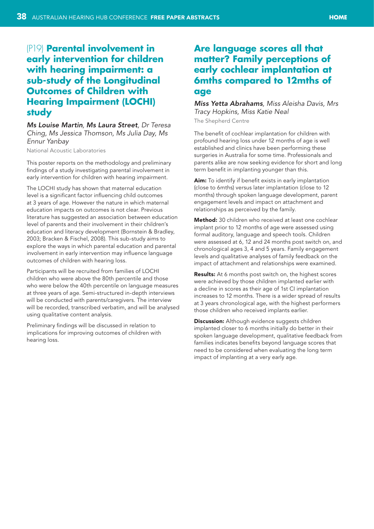# <span id="page-37-0"></span>(P19) **Parental involvement in early intervention for children with hearing impairment: a sub-study of the Longitudinal Outcomes of Children with Hearing Impairment (LOCHI) study**

*Ms Louise Martin, Ms Laura Street, Dr Teresa Ching, Ms Jessica Thomson, Ms Julia Day, Ms Ennur Yanbay*

National Acoustic Laboratories

This poster reports on the methodology and preliminary findings of a study investigating parental involvement in early intervention for children with hearing impairment.

The LOCHI study has shown that maternal education level is a significant factor influencing child outcomes at 3 years of age. However the nature in which maternal education impacts on outcomes is not clear. Previous literature has suggested an association between education level of parents and their involvement in their children's education and literacy development (Bornstein & Bradley, 2003; Bracken & Fischel, 2008). This sub-study aims to explore the ways in which parental education and parental involvement in early intervention may influence language outcomes of children with hearing loss.

Participants will be recruited from families of LOCHI children who were above the 80th percentile and those who were below the 40th percentile on language measures at three years of age. Semi-structured in-depth interviews will be conducted with parents/caregivers. The interview will be recorded, transcribed verbatim, and will be analysed using qualitative content analysis.

Preliminary findings will be discussed in relation to implications for improving outcomes of children with hearing loss.

## **Are language scores all that matter? Family perceptions of early cochlear implantation at 6mths compared to 12mths of age**

*Miss Yetta Abrahams, Miss Aleisha Davis, Mrs Tracy Hopkins, Miss Katie Neal* The Shepherd Centre

The benefit of cochlear implantation for children with profound hearing loss under 12 months of age is well established and clinics have been performing these surgeries in Australia for some time. Professionals and parents alike are now seeking evidence for short and long term benefit in implanting younger than this.

Aim: To identify if benefit exists in early implantation (close to 6mths) versus later implantation (close to 12 months) through spoken language development, parent engagement levels and impact on attachment and relationships as perceived by the family.

Method: 30 children who received at least one cochlear implant prior to 12 months of age were assessed using formal auditory, language and speech tools. Children were assessed at 6, 12 and 24 months post switch on, and chronological ages 3, 4 and 5 years. Family engagement levels and qualitative analyses of family feedback on the impact of attachment and relationships were examined.

**Results:** At 6 months post switch on, the highest scores were achieved by those children implanted earlier with a decline in scores as their age of 1st CI implantation increases to 12 months. There is a wider spread of results at 3 years chronological age, with the highest performers those children who received implants earlier.

Discussion: Although evidence suggests children implanted closer to 6 months initially do better in their spoken language development, qualitative feedback from families indicates benefits beyond language scores that need to be considered when evaluating the long term impact of implanting at a very early age.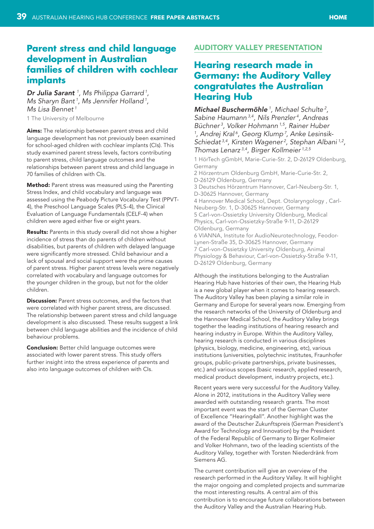## <span id="page-38-0"></span>**Parent stress and child language development in Australian families of children with cochlear implants**

*Dr Julia Sarant <sup>1</sup> , Ms Philippa Garrard 1, Ms Sharyn Bant 1, Ms Jennifer Holland 1, Ms Lisa Bennet 1*

1 The University of Melbourne

Aims: The relationship between parent stress and child language development has not previously been examined for school-aged children with cochlear implants (CIs). This study examined parent stress levels, factors contributing to parent stress, child language outcomes and the relationships between parent stress and child language in 70 families of children with CIs.

Method: Parent stress was measured using the Parenting Stress Index, and child vocabulary and language was assessed using the Peabody Picture Vocabulary Test (PPVT-4), the Preschool Language Scales (PLS-4), the Clinical Evaluation of Language Fundamentals (CELF-4) when children were aged either five or eight years.

Results: Parents in this study overall did not show a higher incidence of stress than do parents of children without disabilities, but parents of children with delayed language were significantly more stressed. Child behaviour and a lack of spousal and social support were the prime causes of parent stress. Higher parent stress levels were negatively correlated with vocabulary and language outcomes for the younger children in the group, but not for the older children.

**Discussion:** Parent stress outcomes, and the factors that were correlated with higher parent stress, are discussed. The relationship between parent stress and child language development is also discussed. These results suggest a link between child language abilities and the incidence of child behaviour problems.

**Conclusion:** Better child language outcomes were associated with lower parent stress. This study offers further insight into the stress experience of parents and also into language outcomes of children with CIs.

#### Auditory Valley presentation

# **Hearing research made in Germany: the Auditory Valley congratulates the Australian Hearing Hub**

*Michael Buschermöhle <sup>1</sup> , Michael Schulte 2, Sabine Haumann 3,4, Nils Prenzler 4, Andreas Büchner 3, Volker Hohmann 1,5, Rainer Huber* <sup>1</sup>, Andrej Kral<sup>6</sup>, Georg Klump<sup>7</sup>, Anke Lesinsik-*Schiedat 3,4, Kirsten Wagener 2, Stephan Albani 1,2, Thomas Lenarz 3,4, Birger Kollmeier 1,2,5*

1 HörTech gGmbH, Marie-Curie-Str. 2, D-26129 Oldenburg, Germany 2 Hörzentrum Oldenburg GmbH, Marie-Curie-Str. 2,

D-26129 Oldenburg, Germany 3 Deutsches Hörzentrum Hannover, Carl-Neuberg-Str. 1, D-30625 Hannover, Germany 4 Hannover Medical School, Dept. Otolaryngology , Carl-Neuberg-Str. 1, D-30625 Hannover, Germany 5 Carl-von-Ossietzky University Oldenburg, Medical Physics, Carl-von-Ossietzky-Straße 9-11, D-26129 Oldenburg, Germany

6 VIANNA, Institute for AudioNeurotechnology, Feodor-Lynen-Straße 35, D-30625 Hannover, Germany 7 Carl-von-Ossietzky University Oldenburg, Animal Physiology & Behaviour, Carl-von-Ossietzky-Straße 9-11, D-26129 Oldenburg, Germany

Although the institutions belonging to the Australian Hearing Hub have histories of their own, the Hearing Hub is a new global player when it comes to hearing research. The Auditory Valley has been playing a similar role in Germany and Europe for several years now. Emerging from the research networks of the University of Oldenburg and the Hannover Medical School, the Auditory Valley brings together the leading institutions of hearing research and hearing industry in Europe. Within the Auditory Valley, hearing research is conducted in various disciplines (physics, biology, medicine, engineering, etc), various institutions (universities, polytechnic institutes, Fraunhofer groups, public-private partnerships, private businesses, etc.) and various scopes (basic research, applied research, medical product development, industry projects, etc.).

Recent years were very successful for the Auditory Valley. Alone in 2012, institutions in the Auditory Valley were awarded with outstanding research grants. The most important event was the start of the German Cluster of Excellence "Hearing4all". Another highlight was the award of the Deutscher Zukunftspreis (German President's Award for Technology and Innovation) by the President of the Federal Republic of Germany to Birger Kollmeier and Volker Hohmann, two of the leading scientists of the Auditory Valley, together with Torsten Niederdränk from Siemens AG.

The current contribution will give an overview of the research performed in the Auditory Valley. It will highlight the major ongoing and completed projects and summarize the most interesting results. A central aim of this contribution is to encourage future collaborations between the Auditory Valley and the Australian Hearing Hub.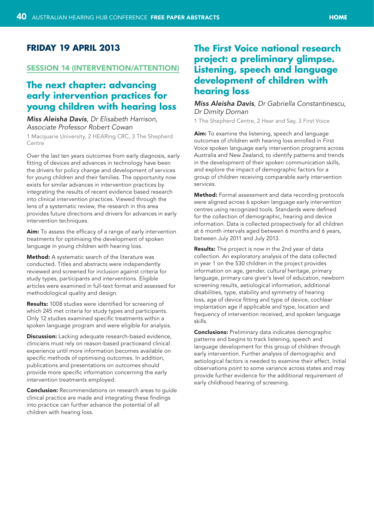## <span id="page-39-0"></span>**Friday 19 April 2013**

#### Session 14 (Intervention/attention)

## **The next chapter: advancing early intervention practices for young children with hearing loss**

#### *Miss Aleisha Davis, Dr Elisabeth Harrison, Associate Professor Robert Cowan*

1 Macquarie University, 2 HEARing CRC, 3 The Shepherd Centre

Over the last ten years outcomes from early diagnosis, early fitting of devices and advances in technology have been the drivers for policy change and development of services for young children and their families. The opportunity now exists for similar advances in intervention practices by integrating the results of recent evidence based research into clinical intervention practices. Viewed through the lens of a systematic review, the research in this area provides future directions and drivers for advances in early intervention techniques.

Aim: To assess the efficacy of a range of early intervention treatments for optimising the development of spoken language in young children with hearing loss.

Method: A systematic search of the literature was conducted. Titles and abstracts were independently reviewed and screened for inclusion against criteria for study types, participants and interventions. Eligible articles were examined in full-text format and assessed for methodological quality and design.

Results: 1008 studies were identified for screening of which 245 met criteria for study types and participants. Only 12 studies examined specific treatments within a spoken language program and were eligible for analysis.

**Discussion:** Lacking adequate research-based evidence, clinicians must rely on reason-based practiceand clinical experience until more information becomes available on specific methods of optimising outcomes. In addition, publications and presentations on outcomes should provide more specific information concerning the early intervention treatments employed.

**Conclusion:** Recommendations on research areas to guide clinical practice are made and integrating these findings into practice can further advance the potential of all children with hearing loss.

## **The First Voice national research project: a preliminary glimpse. Listening, speech and language development of children with hearing loss**

#### *Miss Aleisha Davis, Dr Gabriella Constantinescu, Dr Dimity Dornan*

1 The Shepherd Centre, 2 Hear and Say, 3 First Voice

Aim: To examine the listening, speech and language outcomes of children with hearing loss enrolled in First Voice spoken language early intervention programs across Australia and New Zealand, to identify patterns and trends in the development of their spoken communication skills, and explore the impact of demographic factors for a group of children receiving comparable early intervention services.

Method: Formal assessment and data recording protocols were aligned across 6 spoken language early intervention centres using recognized tools. Standards were defined for the collection of demographic, hearing and device information. Data is collected prospectively for all children at 6 month intervals aged between 6 months and 6 years, between July 2011 and July 2013.

Results: The project is now in the 2nd year of data collection. An exploratory analysis of the data collected in year 1 on the 530 children in the project provides information on age, gender, cultural heritage, primary language, primary care giver's level of education, newborn screening results, aetiological information, additional disabilities, type, stability and symmetry of hearing loss, age of device fitting and type of device, cochlear implantation age if applicable and type, location and frequency of intervention received, and spoken language skills.

**Conclusions:** Preliminary data indicates demographic patterns and begins to track listening, speech and language development for this group of children through early intervention. Further analysis of demographic and aetiological factors is needed to examine their effect. Initial observations point to some variance across states and may provide further evidence for the additional requirement of early childhood hearing of screening.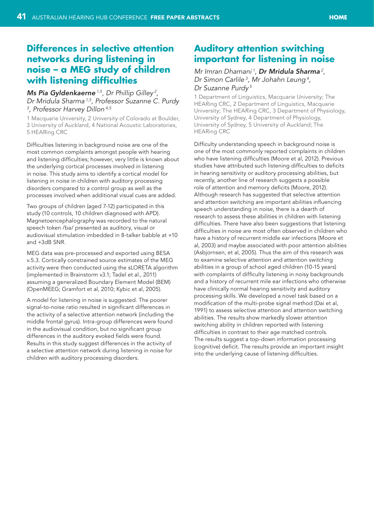## <span id="page-40-0"></span>**Differences in selective attention networks during listening in noise – a MEG study of children with listening difficulties**

## *Ms Pia Gyldenkaerne 1,5, Dr Phillip Gilley 2, Dr Mridula Sharma 1,5, Professor Suzanne C. Purdy 3 , Professor Harvey Dillon 4,5*

1 Macquarie University, 2 University of Colorado at Boulder, 3 University of Auckland, 4 National Acoustic Laboratories, 5 HEARing CRC

Difficulties listening in background noise are one of the most common complaints amongst people with hearing and listening difficulties; however, very little is known about the underlying cortical processes involved in listening in noise. This study aims to identify a cortical model for listening in noise in children with auditory processing disorders compared to a control group as well as the processes involved when additional visual cues are added.

Two groups of children (aged 7-12) participated in this study (10 controls, 10 children diagnosed with APD). Magnetoencephalography was recorded to the natural speech token /ba/ presented as auditory, visual or audiovisual stimulation imbedded in 8-talker babble at +10 and +3dB SNR.

MEG data was pre-processed and exported using BESA v.5.3. Cortically constrained source estimates of the MEG activity were then conducted using the sLORETA algorithm (implemented in Brainstorm v3.1; Tadel et al., 2011) assuming a generalized Boundary Element Model (BEM) (OpenMEEG; Gramfort et al, 2010; Kybic et al, 2005).

A model for listening in noise is suggested. The poorer signal-to-noise ratio resulted in significant differences in the activity of a selective attention network (including the middle frontal gyrus). Intra-group differences were found in the audiovisual condition, but no significant group differences in the auditory evoked fields were found. Results in this study suggest differences in the activity of a selective attention network during listening in noise for children with auditory processing disorders.

## **Auditory attention switching important for listening in noise**

## *Mr Imran Dhamani 1, Dr Mridula Sharma 2, Dr Simon Carlile 3, Mr Johahn Leung 4, Dr Suzanne Purdy 5*

1 Department of Linguistics, Macquarie University; The HEARing CRC, 2 Department of Linguistics, Macquarie University; The HEARing CRC, 3 Department of Physiology, University of Sydney, 4 Department of Physiology, University of Sydney, 5 University of Auckland; The HEARing CRC

Difficulty understanding speech in background noise is one of the most commonly reported complaints in children who have listening difficulties (Moore et al, 2012). Previous studies have attributed such listening difficulties to deficits in hearing sensitivity or auditory processing abilities, but recently, another line of research suggests a possible role of attention and memory deficits (Moore, 2012). Although research has suggested that selective attention and attention switching are important abilities influencing speech understanding in noise, there is a dearth of research to assess these abilities in children with listening difficulties. There have also been suggestions that listening difficulties in noise are most often observed in children who have a history of recurrent middle ear infections (Moore et al, 2003) and maybe associated with poor attention abilities (Asbjornsen, et al, 2005). Thus the aim of this research was to examine selective attention and attention switching abilities in a group of school aged children (10-15 years) with complaints of difficulty listening in noisy backgrounds and a history of recurrent mile ear infections who otherwise have clinically normal hearing sensitivity and auditory processing skills. We developed a novel task based on a modification of the multi-probe signal method (Dai et al, 1991) to assess selective attention and attention switching abilities. The results show markedly slower attention switching ability in children reported with listening difficulties in contrast to their age matched controls. The results suggest a top-down information processing (cognitive) deficit. The results provide an important insight into the underlying cause of listening difficulties.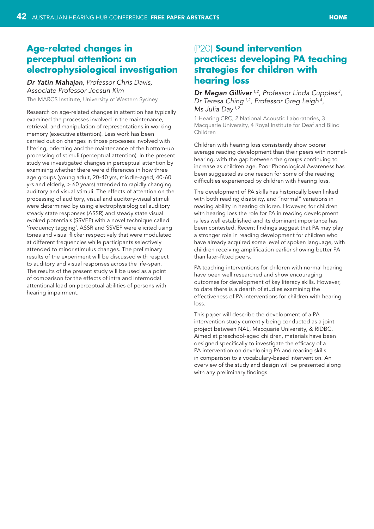# <span id="page-41-0"></span>**Age-related changes in perceptual attention: an electrophysiological investigation**

## *Dr Yatin Mahajan, Professor Chris Davis, Associate Professor Jeesun Kim*

The MARCS Institute, University of Western Sydney

Research on age-related changes in attention has typically examined the processes involved in the maintenance, retrieval, and manipulation of representations in working memory (executive attention). Less work has been carried out on changes in those processes involved with filtering, orienting and the maintenance of the bottom-up processing of stimuli (perceptual attention). In the present study we investigated changes in perceptual attention by examining whether there were differences in how three age groups (young adult, 20-40 yrs, middle-aged, 40-60 yrs and elderly, > 60 years) attended to rapidly changing auditory and visual stimuli. The effects of attention on the processing of auditory, visual and auditory-visual stimuli were determined by using electrophysiological auditory steady state responses (ASSR) and steady state visual evoked potentials (SSVEP) with a novel technique called 'frequency tagging'. ASSR and SSVEP were elicited using tones and visual flicker respectively that were modulated at different frequencies while participants selectively attended to minor stimulus changes. The preliminary results of the experiment will be discussed with respect to auditory and visual responses across the life-span. The results of the present study will be used as a point of comparison for the effects of intra and intermodal attentional load on perceptual abilities of persons with hearing impairment.

# (P20) **Sound intervention practices: developing PA teaching strategies for children with hearing loss**

*Dr Megan Gilliver 1,2, Professor Linda Cupples <sup>3</sup> , Dr Teresa Ching 1,2, Professor Greg Leigh 4, Ms Julia Day 1,2*

1 Hearing CRC, 2 National Acoustic Laboratories, 3 Macquarie University, 4 Royal Institute for Deaf and Blind Children

Children with hearing loss consistently show poorer average reading development than their peers with normalhearing, with the gap between the groups continuing to increase as children age. Poor Phonological Awareness has been suggested as one reason for some of the reading difficulties experienced by children with hearing loss.

The development of PA skills has historically been linked with both reading disability, and "normal" variations in reading ability in hearing children. However, for children with hearing loss the role for PA in reading development is less well established and its dominant importance has been contested. Recent findings suggest that PA may play a stronger role in reading development for children who have already acquired some level of spoken language, with children receiving amplification earlier showing better PA than later-fitted peers.

PA teaching interventions for children with normal hearing have been well researched and show encouraging outcomes for development of key literacy skills. However, to date there is a dearth of studies examining the effectiveness of PA interventions for children with hearing loss.

This paper will describe the development of a PA intervention study currently being conducted as a joint project between NAL, Macquarie University, & RIDBC. Aimed at preschool-aged children, materials have been designed specifically to investigate the efficacy of a PA intervention on developing PA and reading skills in comparison to a vocabulary-based intervention. An overview of the study and design will be presented along with any preliminary findings.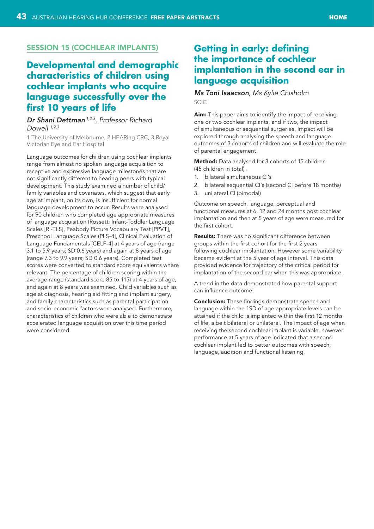#### <span id="page-42-0"></span>Session 15 (Cochlear implants)

# **Developmental and demographic characteristics of children using cochlear implants who acquire language successfully over the first 10 years of life**

## *Dr Shani Dettman 1,2,3, Professor Richard Dowell 1,2,3*

1 The University of Melbourne, 2 HEARing CRC, 3 Royal Victorian Eye and Ear Hospital

Language outcomes for children using cochlear implants range from almost no spoken language acquisition to receptive and expressive language milestones that are not significantly different to hearing peers with typical development. This study examined a number of child/ family variables and covariates, which suggest that early age at implant, on its own, is insufficient for normal language development to occur. Results were analysed for 90 children who completed age appropriate measures of language acquisition (Rossetti Infant-Toddler Language Scales [RI-TLS], Peabody Picture Vocabulary Test [PPVT], Preschool Language Scales (PLS-4], Clinical Evaluation of Language Fundamentals [CELF-4] at 4 years of age (range 3.1 to 5.9 years; SD 0.6 years) and again at 8 years of age (range 7.3 to 9.9 years; SD 0.6 years). Completed test scores were converted to standard score equivalents where relevant. The percentage of children scoring within the average range (standard score 85 to 115) at 4 years of age, and again at 8 years was examined. Child variables such as age at diagnosis, hearing aid fitting and implant surgery, and family characteristics such as parental participation and socio-economic factors were analysed. Furthermore, characteristics of children who were able to demonstrate accelerated language acquisition over this time period were considered.

# **Getting in early: defining the importance of cochlear implantation in the second ear in language acquisition**

#### *Ms Toni Isaacson, Ms Kylie Chisholm* SCIC

Aim: This paper aims to identify the impact of receiving one or two cochlear implants, and if two, the impact of simultaneous or sequential surgeries. Impact will be explored through analysing the speech and language outcomes of 3 cohorts of children and will evaluate the role of parental engagement.

Method: Data analysed for 3 cohorts of 15 children (45 children in total) .

- 1. bilateral simultaneous CI's
- 2. bilateral sequential CI's (second CI before 18 months)
- 3. unilateral CI (bimodal)

Outcome on speech, language, perceptual and functional measures at 6, 12 and 24 months post cochlear implantation and then at 5 years of age were measured for the first cohort.

**Results:** There was no significant difference between groups within the first cohort for the first 2 years following cochlear implantation. However some variability became evident at the 5 year of age interval. This data provided evidence for trajectory of the critical period for implantation of the second ear when this was appropriate.

A trend in the data demonstrated how parental support can influence outcome.

**Conclusion:** These findings demonstrate speech and language within the 1SD of age appropriate levels can be attained if the child is implanted within the first 12 months of life, albeit bilateral or unilateral. The impact of age when receiving the second cochlear implant is variable, however performance at 5 years of age indicated that a second cochlear implant led to better outcomes with speech, language, audition and functional listening.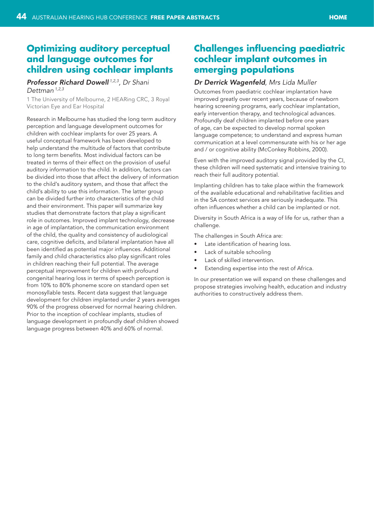## <span id="page-43-0"></span>**Optimizing auditory perceptual and language outcomes for children using cochlear implants**

#### *Professor Richard Dowell 1,2,3, Dr Shani Dettman 1,2,3*

1 The University of Melbourne, 2 HEARing CRC, 3 Royal Victorian Eye and Ear Hospital

Research in Melbourne has studied the long term auditory perception and language development outcomes for children with cochlear implants for over 25 years. A useful conceptual framework has been developed to help understand the multitude of factors that contribute to long term benefits. Most individual factors can be treated in terms of their effect on the provision of useful auditory information to the child. In addition, factors can be divided into those that affect the delivery of information to the child's auditory system, and those that affect the child's ability to use this information. The latter group can be divided further into characteristics of the child and their environment. This paper will summarize key studies that demonstrate factors that play a significant role in outcomes. Improved implant technology, decrease in age of implantation, the communication environment of the child, the quality and consistency of audiological care, cognitive deficits, and bilateral implantation have all been identified as potential major influences. Additional family and child characteristics also play significant roles in children reaching their full potential. The average perceptual improvement for children with profound congenital hearing loss in terms of speech perception is from 10% to 80% phoneme score on standard open set monosyllable tests. Recent data suggest that language development for children implanted under 2 years averages 90% of the progress observed for normal hearing children. Prior to the inception of cochlear implants, studies of language development in profoundly deaf children showed language progress between 40% and 60% of normal.

## **Challenges influencing paediatric cochlear implant outcomes in emerging populations**

#### *Dr Derrick Wagenfeld, Mrs Lida Muller*

Outcomes from paediatric cochlear implantation have improved greatly over recent years, because of newborn hearing screening programs, early cochlear implantation, early intervention therapy, and technological advances. Profoundly deaf children implanted before one years of age, can be expected to develop normal spoken language competence; to understand and express human communication at a level commensurate with his or her age and / or cognitive ability (McConkey Robbins, 2000).

Even with the improved auditory signal provided by the CI, these children will need systematic and intensive training to reach their full auditory potential.

Implanting children has to take place within the framework of the available educational and rehabilitative facilities and in the SA context services are seriously inadequate. This often influences whether a child can be implanted or not.

Diversity in South Africa is a way of life for us, rather than a challenge.

The challenges in South Africa are:

- • Late identification of hearing loss.
- Lack of suitable schooling
- Lack of skilled intervention.
- Extending expertise into the rest of Africa.

In our presentation we will expand on these challenges and propose strategies involving health, education and industry authorities to constructively address them.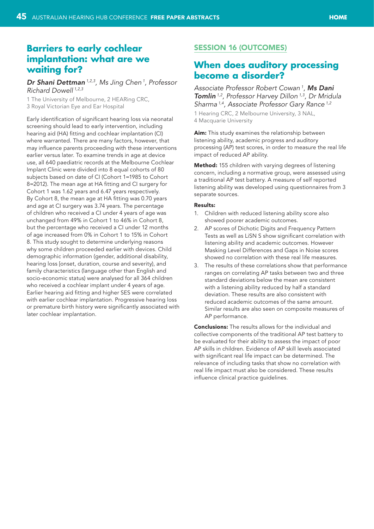# <span id="page-44-0"></span>**Barriers to early cochlear implantation: what are we waiting for?**

*Dr Shani Dettman 1,2,3, Ms Jing Chen 1, Professor Richard Dowell 1,2,3*

1 The University of Melbourne, 2 HEARing CRC, 3 Royal Victorian Eye and Ear Hospital

Early identification of significant hearing loss via neonatal screening should lead to early intervention, including hearing aid (HA) fitting and cochlear implantation (CI) where warranted. There are many factors, however, that may influence parents proceeding with these interventions earlier versus later. To examine trends in age at device use, all 640 paediatric records at the Melbourne Cochlear Implant Clinic were divided into 8 equal cohorts of 80 subjects based on date of CI (Cohort 1=1985 to Cohort 8=2012). The mean age at HA fitting and CI surgery for Cohort 1 was 1.62 years and 6.47 years respectively. By Cohort 8, the mean age at HA fitting was 0.70 years and age at CI surgery was 3.74 years. The percentage of children who received a CI under 4 years of age was unchanged from 49% in Cohort 1 to 46% in Cohort 8, but the percentage who received a CI under 12 months of age increased from 0% in Cohort 1 to 15% in Cohort 8. This study sought to determine underlying reasons why some children proceeded earlier with devices. Child demographic information (gender, additional disability, hearing loss [onset, duration, course and severity), and family characteristics (language other than English and socio-economic status) were analysed for all 364 children who received a cochlear implant under 4 years of age. Earlier hearing aid fitting and higher SES were correlated with earlier cochlear implantation. Progressive hearing loss or premature birth history were significantly associated with later cochlear implantation.

## Session 16 (Outcomes)

## **When does auditory processing become a disorder?**

*Associate Professor Robert Cowan 1*, *Ms Dani Tomlin 1,2, Professor Harvey Dillon 1,3, Dr Mridula Sharma 1,4, Associate Professor Gary Rance 1,2* 1 Hearing CRC, 2 Melbourne University, 3 NAL, 4 Macquarie University

Aim: This study examines the relationship between listening ability, academic progress and auditory processing (AP) test scores, in order to measure the real life impact of reduced AP ability.

Method: 155 children with varying degrees of listening concern, including a normative group, were assessed using a traditional AP test battery. A measure of self reported listening ability was developed using questionnaires from 3 separate sources.

#### Results:

- Children with reduced listening ability score also showed poorer academic outcomes.
- 2. AP scores of Dichotic Digits and Frequency Pattern Tests as well as LiSN S show significant correlation with listening ability and academic outcomes. However Masking Level Differences and Gaps in Noise scores showed no correlation with these real life measures.
- 3. The results of these correlations show that performance ranges on correlating AP tasks between two and three standard deviations below the mean are consistent with a listening ability reduced by half a standard deviation. These results are also consistent with reduced academic outcomes of the same amount. Similar results are also seen on composite measures of AP performance.

Conclusions: The results allows for the individual and collective components of the traditional AP test battery to be evaluated for their ability to assess the impact of poor AP skills in children. Evidence of AP skill levels associated with significant real life impact can be determined. The relevance of including tasks that show no correlation with real life impact must also be considered. These results influence clinical practice guidelines.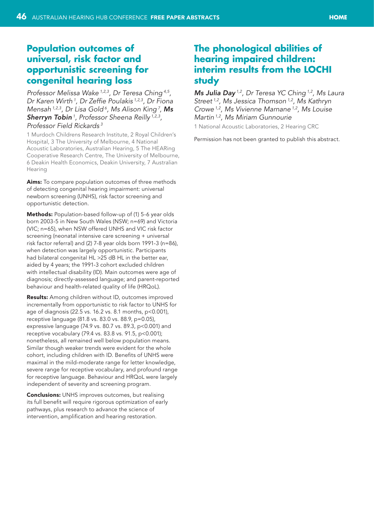# <span id="page-45-0"></span>**Population outcomes of universal, risk factor and opportunistic screening for congenital hearing loss**

*Professor Melissa Wake 1,2,3, Dr Teresa Ching 4,5, Dr Karen Wirth 1, Dr Zeffie Poulakis 1,2,3, Dr Fiona Mensah 1,2,3, Dr Lisa Gold 6, Ms Alison King 7, Ms Sherryn Tobin 1, Professor Sheena Reilly 1,2,3, Professor Field Rickards 3*

1 Murdoch Childrens Research Institute, 2 Royal Children's Hospital, 3 The University of Melbourne, 4 National Acoustic Laboratories, Australian Hearing, 5 The HEARing Cooperative Research Centre, The University of Melbourne, 6 Deakin Health Economics, Deakin University, 7 Australian Hearing

Aims: To compare population outcomes of three methods of detecting congenital hearing impairment: universal newborn screening (UNHS), risk factor screening and opportunistic detection.

Methods: Population-based follow-up of (1) 5-6 year olds born 2003-5 in New South Wales (NSW; n=69) and Victoria (VIC; n=65), when NSW offered UNHS and VIC risk factor screening (neonatal intensive care screening + universal risk factor referral) and (2) 7-8 year olds born 1991-3 (n=86), when detection was largely opportunistic. Participants had bilateral congenital HL >25 dB HL in the better ear, aided by 4 years; the 1991-3 cohort excluded children with intellectual disability (ID). Main outcomes were age of diagnosis; directly-assessed language; and parent-reported behaviour and health-related quality of life (HRQoL).

**Results:** Among children without ID, outcomes improved incrementally from opportunistic to risk factor to UNHS for age of diagnosis (22.5 vs. 16.2 vs. 8.1 months, p<0.001), receptive language (81.8 vs. 83.0 vs. 88.9, p=0.05), expressive language (74.9 vs. 80.7 vs. 89.3, p<0.001) and receptive vocabulary (79.4 vs. 83.8 vs. 91.5, p<0.001); nonetheless, all remained well below population means. Similar though weaker trends were evident for the whole cohort, including children with ID. Benefits of UNHS were maximal in the mild-moderate range for letter knowledge, severe range for receptive vocabulary, and profound range for receptive language. Behaviour and HRQoL were largely independent of severity and screening program.

**Conclusions:** UNHS improves outcomes, but realising its full benefit will require rigorous optimization of early pathways, plus research to advance the science of intervention, amplification and hearing restoration.

## **The phonological abilities of hearing impaired children: interim results from the LOCHI study**

*Ms Julia Day 1,2, Dr Teresa YC Ching 1,2, Ms Laura Street 1,2, Ms Jessica Thomson 1,2, Ms Kathryn Crowe 1,2, Ms Vivienne Marnane 1,2, Ms Louise Martin 1,2, Ms Miriam Gunnourie*

1 National Acoustic Laboratories, 2 Hearing CRC

Permission has not been granted to publish this abstract.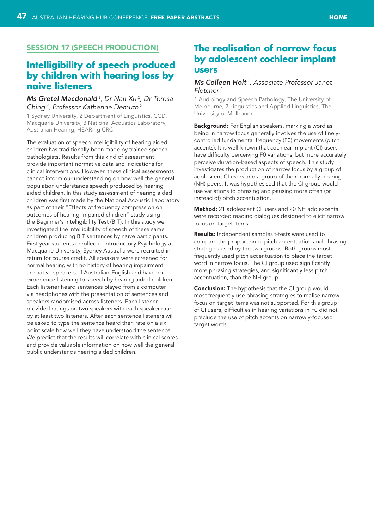## <span id="page-46-0"></span>Session 17 (Speech production)

# **Intelligibility of speech produced by children with hearing loss by naive listeners**

## *Ms Gretel Macdonald 1, Dr Nan Xu 2, Dr Teresa Ching 3, Professor Katherine Demuth 2*

1 Sydney University, 2 Department of Linguistics, CCD, Macquarie University, 3 National Acoustics Laboratory, Australian Hearing, HEARing CRC

The evaluation of speech intelligibility of hearing aided children has traditionally been made by trained speech pathologists. Results from this kind of assessment provide important normative data and indications for clinical interventions. However, these clinical assessments cannot inform our understanding on how well the general population understands speech produced by hearing aided children. In this study assessment of hearing aided children was first made by the National Acoustic Laboratory as part of their "Effects of frequency compression on outcomes of hearing-impaired children" study using the Beginner's Intelligibility Test (BIT). In this study we investigated the intelligibility of speech of these same children producing BIT sentences by naïve participants. First year students enrolled in Introductory Psychology at Macquarie University, Sydney Australia were recruited in return for course credit. All speakers were screened for normal hearing with no history of hearing impairment, are native speakers of Australian-English and have no experience listening to speech by hearing aided children. Each listener heard sentences played from a computer via headphones with the presentation of sentences and speakers randomised across listeners. Each listener provided ratings on two speakers with each speaker rated by at least two listeners. After each sentence listeners will be asked to type the sentence heard then rate on a six point scale how well they have understood the sentence. We predict that the results will correlate with clinical scores and provide valuable information on how well the general public understands hearing aided children.

# **The realisation of narrow focus by adolescent cochlear implant users**

#### *Ms Colleen Holt 1, Associate Professor Janet Fletcher 2*

1 Audiology and Speech Pathology, The University of Melbourne, 2 Linguistics and Applied Linguistics, The University of Melbourne

Background: For English speakers, marking a word as being in narrow focus generally involves the use of finelycontrolled fundamental frequency (F0) movements (pitch accents). It is well-known that cochlear implant (CI) users have difficulty perceiving F0 variations, but more accurately perceive duration-based aspects of speech. This study investigates the production of narrow focus by a group of adolescent CI users and a group of their normally-hearing (NH) peers. It was hypothesised that the CI group would use variations to phrasing and pausing more often (or instead of) pitch accentuation.

Method: 21 adolescent CI users and 20 NH adolescents were recorded reading dialogues designed to elicit narrow focus on target items.

Results: Independent samples t-tests were used to compare the proportion of pitch accentuation and phrasing strategies used by the two groups. Both groups most frequently used pitch accentuation to place the target word in narrow focus. The CI group used significantly more phrasing strategies, and significantly less pitch accentuation, than the NH group.

**Conclusion:** The hypothesis that the CI group would most frequently use phrasing strategies to realise narrow focus on target items was not supported. For this group of CI users, difficulties in hearing variations in F0 did not preclude the use of pitch accents on narrowly-focused target words.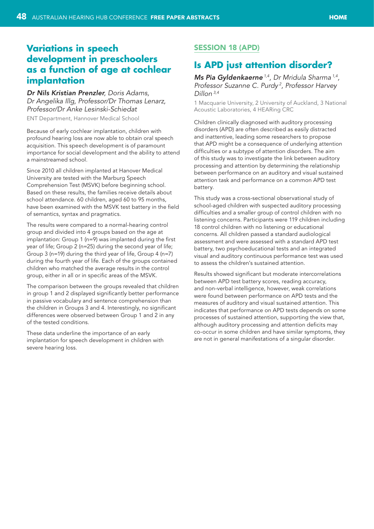# <span id="page-47-0"></span>**Variations in speech development in preschoolers as a function of age at cochlear implantation**

*Dr Nils Kristian Prenzler, Doris Adams, Dr Angelika Illg, Professor/Dr Thomas Lenarz, Professor/Dr Anke Lesinski-Schiedat*

ENT Department, Hannover Medical School

Because of early cochlear implantation, children with profound hearing loss are now able to obtain oral speech acquisition. This speech development is of paramount importance for social development and the ability to attend a mainstreamed school.

Since 2010 all children implanted at Hanover Medical University are tested with the Marburg Speech Comprehension Test (MSVK) before beginning school. Based on these results, the families receive details about school attendance. 60 children, aged 60 to 95 months, have been examined with the MSVK test battery in the field of semantics, syntax and pragmatics.

The results were compared to a normal-hearing control group and divided into 4 groups based on the age at implantation: Group 1 (n=9) was implanted during the first year of life; Group 2 (n=25) during the second year of life; Group 3 (n=19) during the third year of life, Group 4 (n=7) during the fourth year of life. Each of the groups contained children who matched the average results in the control group, either in all or in specific areas of the MSVK.

The comparison between the groups revealed that children in group 1 and 2 displayed significantly better performance in passive vocabulary and sentence comprehension than the children in Groups 3 and 4. Interestingly, no significant differences were observed between Group 1 and 2 in any of the tested conditions.

These data underline the importance of an early implantation for speech development in children with severe hearing loss.

## Session 18 (APD)

# **Is APD just attention disorder?**

*Ms Pia Gyldenkaerne 1,4, Dr Mridula Sharma 1,4, Professor Suzanne C. Purdy 2, Professor Harvey Dillon 3,4*

1 Macquarie University, 2 University of Auckland, 3 National Acoustic Laboratories, 4 HEARing CRC

Children clinically diagnosed with auditory processing disorders (APD) are often described as easily distracted and inattentive, leading some researchers to propose that APD might be a consequence of underlying attention difficulties or a subtype of attention disorders. The aim of this study was to investigate the link between auditory processing and attention by determining the relationship between performance on an auditory and visual sustained attention task and performance on a common APD test battery.

This study was a cross-sectional observational study of school-aged children with suspected auditory processing difficulties and a smaller group of control children with no listening concerns. Participants were 119 children including 18 control children with no listening or educational concerns. All children passed a standard audiological assessment and were assessed with a standard APD test battery, two psychoeducational tests and an integrated visual and auditory continuous performance test was used to assess the children's sustained attention.

Results showed significant but moderate intercorrelations between APD test battery scores, reading accuracy, and non-verbal intelligence, however, weak correlations were found between performance on APD tests and the measures of auditory and visual sustained attention. This indicates that performance on APD tests depends on some processes of sustained attention, supporting the view that, although auditory processing and attention deficits may co-occur in some children and have similar symptoms, they are not in general manifestations of a singular disorder.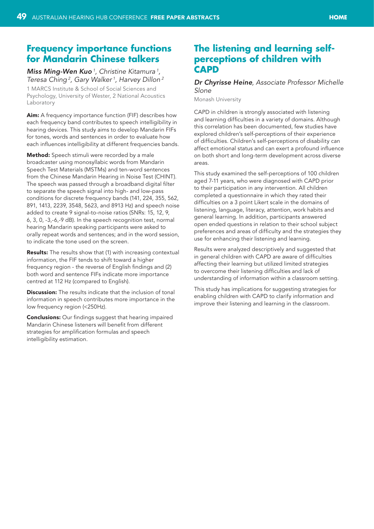## <span id="page-48-0"></span>**Frequency importance functions for Mandarin Chinese talkers**

## *Miss Ming-Wen Kuo 1, Christine Kitamura <sup>1</sup> , Teresa Ching 2, Gary Walker 1, Harvey Dillon 2*

1 MARCS Institute & School of Social Sciences and Psychology, University of Wester, 2 National Acoustics Laboratory

Aim: A frequency importance function (FIF) describes how each frequency band contributes to speech intelligibility in hearing devices. This study aims to develop Mandarin FIFs for tones, words and sentences in order to evaluate how each influences intelligibility at different frequencies bands.

Method: Speech stimuli were recorded by a male broadcaster using monosyllabic words from Mandarin Speech Test Materials (MSTMs) and ten-word sentences from the Chinese Mandarin Hearing in Noise Test (CHINT). The speech was passed through a broadband digital filter to separate the speech signal into high- and low-pass conditions for discrete frequency bands (141, 224, 355, 562, 891, 1413, 2239, 3548, 5623, and 8913 Hz) and speech noise added to create 9 signal-to-noise ratios (SNRs: 15, 12, 9, 6, 3, 0, -3,-6,-9 dB). In the speech recognition test, normal hearing Mandarin speaking participants were asked to orally repeat words and sentences; and in the word session, to indicate the tone used on the screen.

**Results:** The results show that (1) with increasing contextual information, the FIF tends to shift toward a higher frequency region - the reverse of English findings and (2) both word and sentence FIFs indicate more importance centred at 112 Hz (compared to English).

**Discussion:** The results indicate that the inclusion of tonal information in speech contributes more importance in the low frequency region (<250Hz).

**Conclusions:** Our findings suggest that hearing impaired Mandarin Chinese listeners will benefit from different strategies for amplification formulas and speech intelligibility estimation.

# **The listening and learning selfperceptions of children with CAPD**

#### *Dr Chyrisse Heine, Associate Professor Michelle Slone*

Monash University

CAPD in children is strongly associated with listening and learning difficulties in a variety of domains. Although this correlation has been documented, few studies have explored children's self-perceptions of their experience of difficulties. Children's self-perceptions of disability can affect emotional status and can exert a profound influence on both short and long-term development across diverse areas.

This study examined the self-perceptions of 100 children aged 7-11 years, who were diagnosed with CAPD prior to their participation in any intervention. All children completed a questionnaire in which they rated their difficulties on a 3 point Likert scale in the domains of listening, language, literacy, attention, work habits and general learning. In addition, participants answered open ended questions in relation to their school subject preferences and areas of difficulty and the strategies they use for enhancing their listening and learning.

Results were analyzed descriptively and suggested that in general children with CAPD are aware of difficulties affecting their learning but utilized limited strategies to overcome their listening difficulties and lack of understanding of information within a classroom setting.

This study has implications for suggesting strategies for enabling children with CAPD to clarify information and improve their listening and learning in the classroom.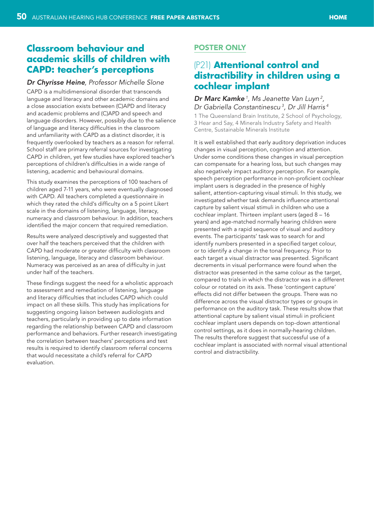## <span id="page-49-0"></span>**Classroom behaviour and academic skills of children with CAPD: teacher's perceptions**

#### *Dr Chyrisse Heine, Professor Michelle Slone*

CAPD is a multidimensional disorder that transcends language and literacy and other academic domains and a close association exists between (C)APD and literacy and academic problems and (C)APD and speech and language disorders. However, possibly due to the salience of language and literacy difficulties in the classroom and unfamiliarity with CAPD as a distinct disorder, it is frequently overlooked by teachers as a reason for referral. School staff are primary referral sources for investigating CAPD in children, yet few studies have explored teacher's perceptions of children's difficulties in a wide range of listening, academic and behavioural domains.

This study examines the perceptions of 100 teachers of children aged 7-11 years, who were eventually diagnosed with CAPD. All teachers completed a questionnaire in which they rated the child's difficulty on a 5 point Likert scale in the domains of listening, language, literacy, numeracy and classroom behaviour. In addition, teachers identified the major concern that required remediation.

Results were analyzed descriptively and suggested that over half the teachers perceived that the children with CAPD had moderate or greater difficulty with classroom listening, language, literacy and classroom behaviour. Numeracy was perceived as an area of difficulty in just under half of the teachers.

These findings suggest the need for a wholistic approach to assessment and remediation of listening, language and literacy difficulties that includes CAPD which could impact on all these skills. This study has implications for suggesting ongoing liaison between audiologists and teachers, particularly in providing up to date information regarding the relationship between CAPD and classroom performance and behaviors. Further research investigating the correlation between teachers' perceptions and test results is required to identify classroom referral concerns that would necessitate a child's referral for CAPD evaluation.

## Poster only

# (P21) **Attentional control and distractibility in children using a cochlear implant**

#### *Dr Marc Kamke 1, Ms Jeanette Van Luyn 2, Dr Gabriella Constantinescu 3, Dr Jill Harris 4*

1 The Queensland Brain Institute, 2 School of Psychology, 3 Hear and Say, 4 Minerals Industry Safety and Health Centre, Sustainable Minerals Institute

It is well established that early auditory deprivation induces changes in visual perception, cognition and attention. Under some conditions these changes in visual perception can compensate for a hearing loss, but such changes may also negatively impact auditory perception. For example, speech perception performance in non-proficient cochlear implant users is degraded in the presence of highly salient, attention-capturing visual stimuli. In this study, we investigated whether task demands influence attentional capture by salient visual stimuli in children who use a cochlear implant. Thirteen implant users (aged 8 – 16 years) and age-matched normally hearing children were presented with a rapid sequence of visual and auditory events. The participants' task was to search for and identify numbers presented in a specified target colour, or to identify a change in the tonal frequency. Prior to each target a visual distractor was presented. Significant decrements in visual performance were found when the distractor was presented in the same colour as the target, compared to trials in which the distractor was in a different colour or rotated on its axis. These 'contingent capture' effects did not differ between the groups. There was no difference across the visual distractor types or groups in performance on the auditory task. These results show that attentional capture by salient visual stimuli in proficient cochlear implant users depends on top-down attentional control settings, as it does in normally-hearing children. The results therefore suggest that successful use of a cochlear implant is associated with normal visual attentional control and distractibility.